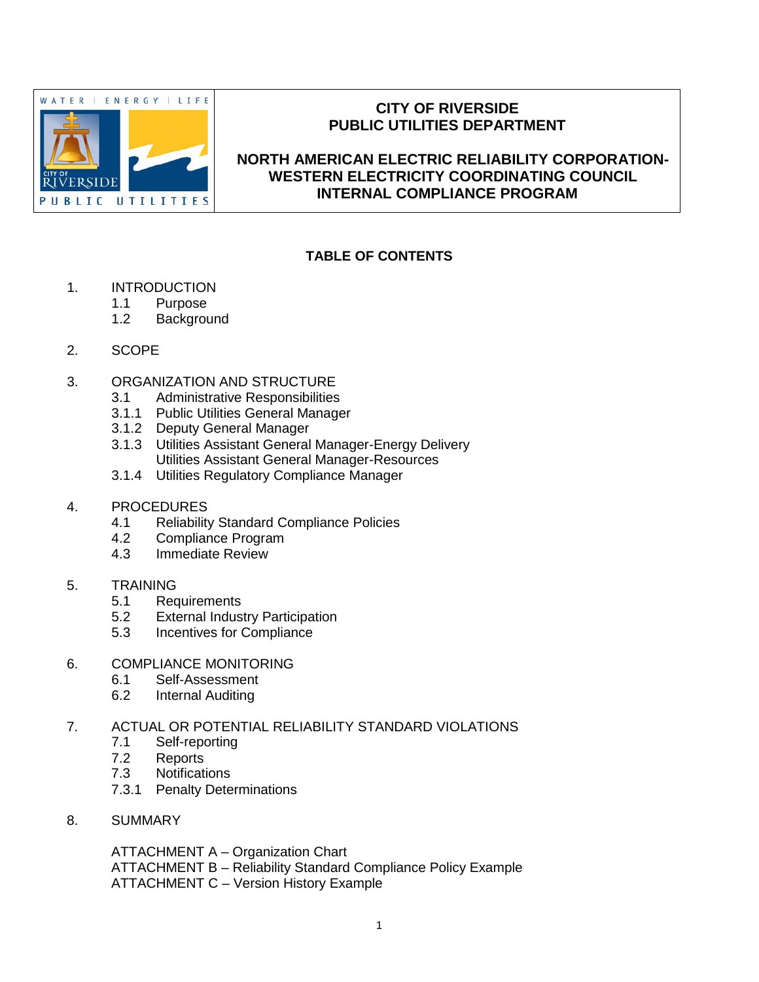

## **CITY OF RIVERSIDE PUBLIC UTILITIES DEPARTMENT**

## **NORTH AMERICAN ELECTRIC RELIABILITY CORPORATION-WESTERN ELECTRICITY COORDINATING COUNCIL INTERNAL COMPLIANCE PROGRAM**

## **TABLE OF CONTENTS**

- 1. INTRODUCTION
	- 1.1 Purpose
	- 1.2 Background
- 2. SCOPE
- 3. ORGANIZATION AND STRUCTURE
	- 3.1 Administrative Responsibilities
	- 3.1.1 Public Utilities General Manager
	- 3.1.2 Deputy General Manager
	- 3.1.3 Utilities Assistant General Manager-Energy Delivery Utilities Assistant General Manager-Resources
	- 3.1.4 Utilities Regulatory Compliance Manager
- 4. PROCEDURES
	- 4.1 Reliability Standard Compliance Policies
	- 4.2 Compliance Program
	- 4.3 Immediate Review

## 5. TRAINING

- 5.1 Requirements<br>5.2 External Indus
- **External Industry Participation**
- 5.3 Incentives for Compliance
- 6. COMPLIANCE MONITORING
	- 6.1 Self-Assessment
	- 6.2 Internal Auditing

## 7. ACTUAL OR POTENTIAL RELIABILITY STANDARD VIOLATIONS

- 7.1 Self-reporting
- 7.2 Reports
- 7.3 Notifications
- 7.3.1 Penalty Determinations
- 8. SUMMARY

ATTACHMENT A – Organization Chart ATTACHMENT B – Reliability Standard Compliance Policy Example ATTACHMENT C – Version History Example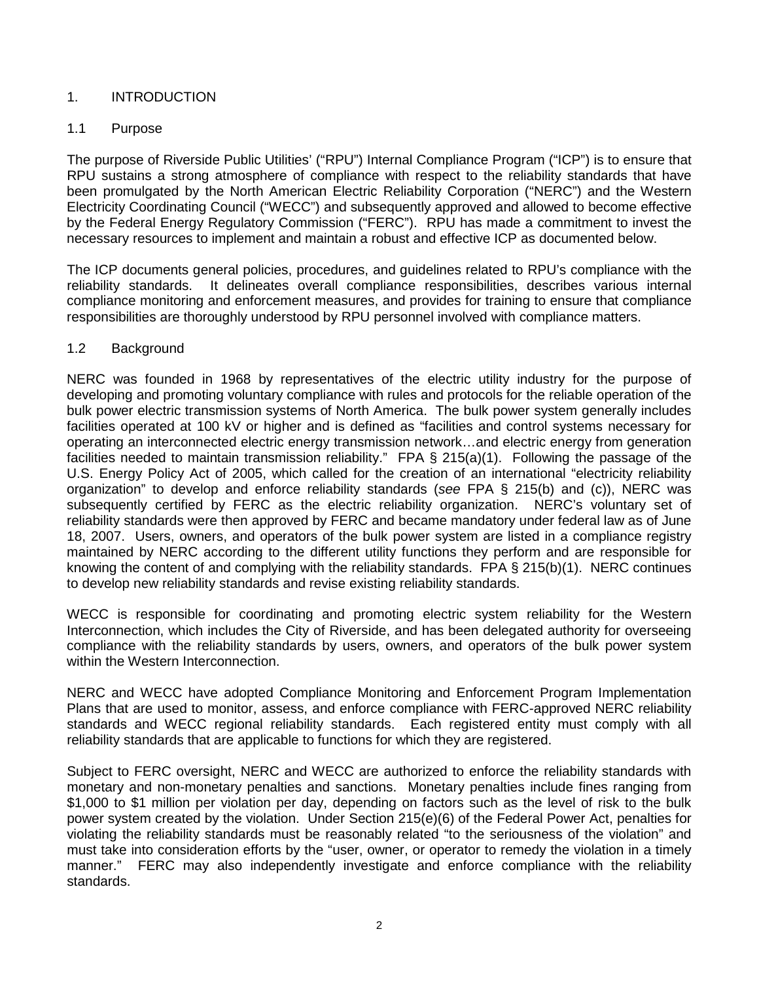## 1. INTRODUCTION

## 1.1 Purpose

The purpose of Riverside Public Utilities' ("RPU") Internal Compliance Program ("ICP") is to ensure that RPU sustains a strong atmosphere of compliance with respect to the reliability standards that have been promulgated by the North American Electric Reliability Corporation ("NERC") and the Western Electricity Coordinating Council ("WECC") and subsequently approved and allowed to become effective by the Federal Energy Regulatory Commission ("FERC"). RPU has made a commitment to invest the necessary resources to implement and maintain a robust and effective ICP as documented below.

The ICP documents general policies, procedures, and guidelines related to RPU's compliance with the reliability standards. It delineates overall compliance responsibilities, describes various internal compliance monitoring and enforcement measures, and provides for training to ensure that compliance responsibilities are thoroughly understood by RPU personnel involved with compliance matters.

## 1.2 Background

NERC was founded in 1968 by representatives of the electric utility industry for the purpose of developing and promoting voluntary compliance with rules and protocols for the reliable operation of the bulk power electric transmission systems of North America. The bulk power system generally includes facilities operated at 100 kV or higher and is defined as "facilities and control systems necessary for operating an interconnected electric energy transmission network…and electric energy from generation facilities needed to maintain transmission reliability." FPA § 215(a)(1). Following the passage of the U.S. Energy Policy Act of 2005, which called for the creation of an international "electricity reliability organization" to develop and enforce reliability standards (*see* FPA § 215(b) and (c)), NERC was subsequently certified by FERC as the electric reliability organization. NERC's voluntary set of reliability standards were then approved by FERC and became mandatory under federal law as of June 18, 2007. Users, owners, and operators of the bulk power system are listed in a compliance registry maintained by NERC according to the different utility functions they perform and are responsible for knowing the content of and complying with the reliability standards. FPA § 215(b)(1). NERC continues to develop new reliability standards and revise existing reliability standards.

WECC is responsible for coordinating and promoting electric system reliability for the Western Interconnection, which includes the City of Riverside, and has been delegated authority for overseeing compliance with the reliability standards by users, owners, and operators of the bulk power system within the Western Interconnection.

NERC and WECC have adopted Compliance Monitoring and Enforcement Program Implementation Plans that are used to monitor, assess, and enforce compliance with FERC-approved NERC reliability standards and WECC regional reliability standards. Each registered entity must comply with all reliability standards that are applicable to functions for which they are registered.

Subject to FERC oversight, NERC and WECC are authorized to enforce the reliability standards with monetary and non-monetary penalties and sanctions. Monetary penalties include fines ranging from \$1,000 to \$1 million per violation per day, depending on factors such as the level of risk to the bulk power system created by the violation. Under Section 215(e)(6) of the Federal Power Act, penalties for violating the reliability standards must be reasonably related "to the seriousness of the violation" and must take into consideration efforts by the "user, owner, or operator to remedy the violation in a timely manner." FERC may also independently investigate and enforce compliance with the reliability standards.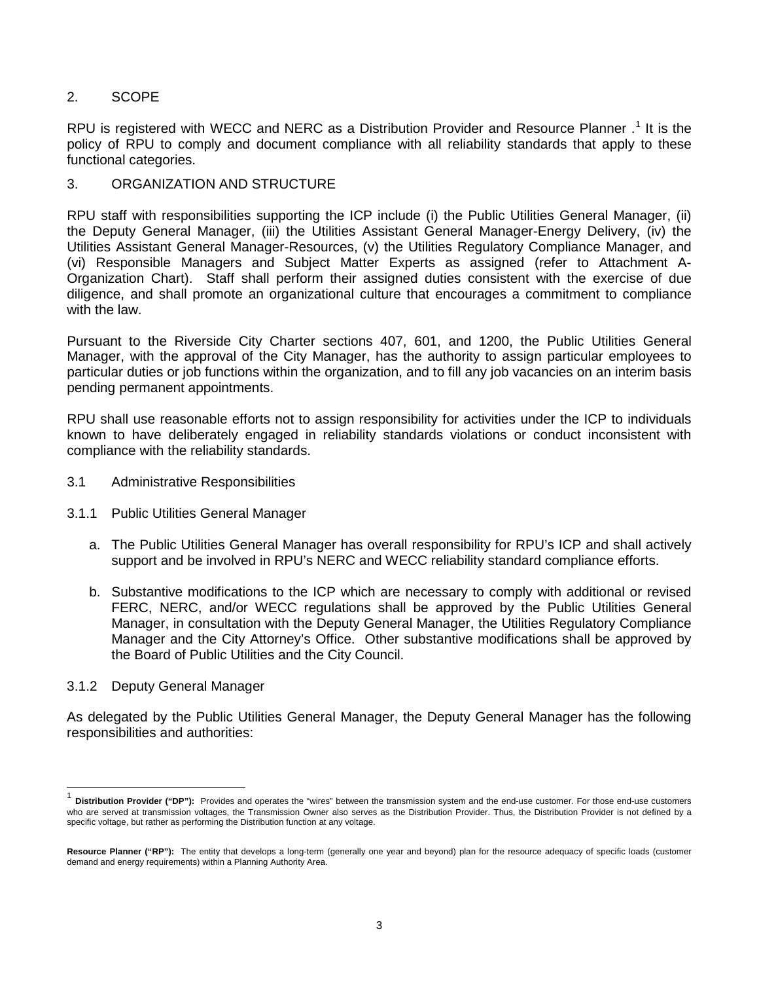## 2. SCOPE

RPU is registered with WECC and NERC as a Distribution Provider and Resource Planner.<sup>[1](#page-2-0)</sup> It is the policy of RPU to comply and document compliance with all reliability standards that apply to these functional categories.

## 3. ORGANIZATION AND STRUCTURE

RPU staff with responsibilities supporting the ICP include (i) the Public Utilities General Manager, (ii) the Deputy General Manager, (iii) the Utilities Assistant General Manager-Energy Delivery, (iv) the Utilities Assistant General Manager-Resources, (v) the Utilities Regulatory Compliance Manager, and (vi) Responsible Managers and Subject Matter Experts as assigned (refer to Attachment A-Organization Chart). Staff shall perform their assigned duties consistent with the exercise of due diligence, and shall promote an organizational culture that encourages a commitment to compliance with the law.

Pursuant to the Riverside City Charter sections 407, 601, and 1200, the Public Utilities General Manager, with the approval of the City Manager, has the authority to assign particular employees to particular duties or job functions within the organization, and to fill any job vacancies on an interim basis pending permanent appointments.

RPU shall use reasonable efforts not to assign responsibility for activities under the ICP to individuals known to have deliberately engaged in reliability standards violations or conduct inconsistent with compliance with the reliability standards.

- 3.1 Administrative Responsibilities
- 3.1.1 Public Utilities General Manager
	- a. The Public Utilities General Manager has overall responsibility for RPU's ICP and shall actively support and be involved in RPU's NERC and WECC reliability standard compliance efforts.
	- b. Substantive modifications to the ICP which are necessary to comply with additional or revised FERC, NERC, and/or WECC regulations shall be approved by the Public Utilities General Manager, in consultation with the Deputy General Manager, the Utilities Regulatory Compliance Manager and the City Attorney's Office. Other substantive modifications shall be approved by the Board of Public Utilities and the City Council.

#### 3.1.2 Deputy General Manager

As delegated by the Public Utilities General Manager, the Deputy General Manager has the following responsibilities and authorities:

<span id="page-2-0"></span> <sup>1</sup> **Distribution Provider ("DP"):** Provides and operates the "wires" between the transmission system and the end-use customer. For those end-use customers who are served at transmission voltages, the Transmission Owner also serves as the Distribution Provider. Thus, the Distribution Provider is not defined by a specific voltage, but rather as performing the Distribution function at any voltage.

**Resource Planner ("RP"):** The entity that develops a long-term (generally one year and beyond) plan for the resource adequacy of specific loads (customer demand and energy requirements) within a Planning Authority Area.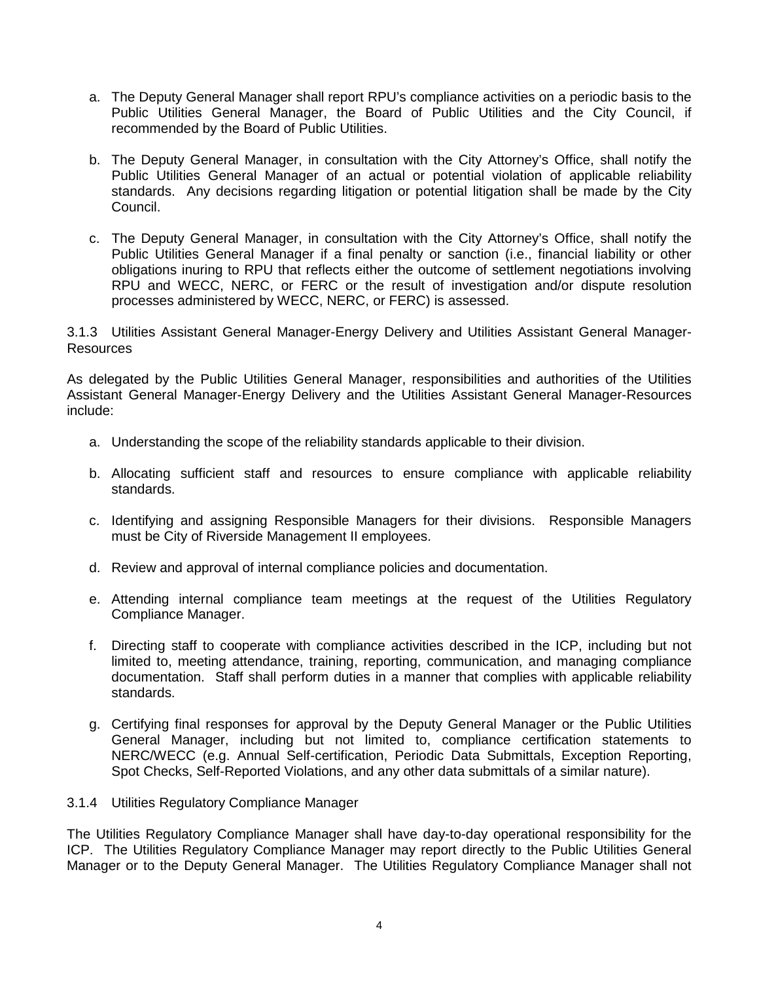- a. The Deputy General Manager shall report RPU's compliance activities on a periodic basis to the Public Utilities General Manager, the Board of Public Utilities and the City Council, if recommended by the Board of Public Utilities.
- b. The Deputy General Manager, in consultation with the City Attorney's Office, shall notify the Public Utilities General Manager of an actual or potential violation of applicable reliability standards. Any decisions regarding litigation or potential litigation shall be made by the City Council.
- c. The Deputy General Manager, in consultation with the City Attorney's Office, shall notify the Public Utilities General Manager if a final penalty or sanction (i.e., financial liability or other obligations inuring to RPU that reflects either the outcome of settlement negotiations involving RPU and WECC, NERC, or FERC or the result of investigation and/or dispute resolution processes administered by WECC, NERC, or FERC) is assessed.

3.1.3 Utilities Assistant General Manager-Energy Delivery and Utilities Assistant General Manager-**Resources** 

As delegated by the Public Utilities General Manager, responsibilities and authorities of the Utilities Assistant General Manager-Energy Delivery and the Utilities Assistant General Manager-Resources include:

- a. Understanding the scope of the reliability standards applicable to their division.
- b. Allocating sufficient staff and resources to ensure compliance with applicable reliability standards.
- c. Identifying and assigning Responsible Managers for their divisions. Responsible Managers must be City of Riverside Management II employees.
- d. Review and approval of internal compliance policies and documentation.
- e. Attending internal compliance team meetings at the request of the Utilities Regulatory Compliance Manager.
- f. Directing staff to cooperate with compliance activities described in the ICP, including but not limited to, meeting attendance, training, reporting, communication, and managing compliance documentation. Staff shall perform duties in a manner that complies with applicable reliability standards.
- g. Certifying final responses for approval by the Deputy General Manager or the Public Utilities General Manager, including but not limited to, compliance certification statements to NERC/WECC (e.g. Annual Self-certification, Periodic Data Submittals, Exception Reporting, Spot Checks, Self-Reported Violations, and any other data submittals of a similar nature).
- 3.1.4 Utilities Regulatory Compliance Manager

The Utilities Regulatory Compliance Manager shall have day-to-day operational responsibility for the ICP. The Utilities Regulatory Compliance Manager may report directly to the Public Utilities General Manager or to the Deputy General Manager. The Utilities Regulatory Compliance Manager shall not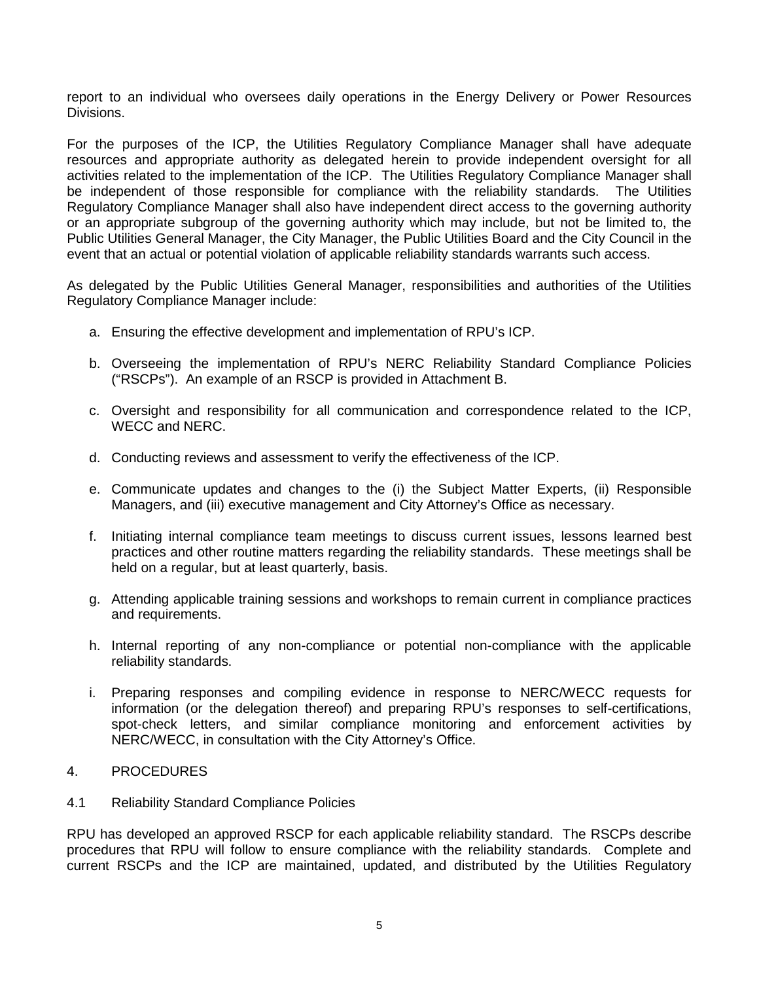report to an individual who oversees daily operations in the Energy Delivery or Power Resources Divisions.

For the purposes of the ICP, the Utilities Regulatory Compliance Manager shall have adequate resources and appropriate authority as delegated herein to provide independent oversight for all activities related to the implementation of the ICP. The Utilities Regulatory Compliance Manager shall be independent of those responsible for compliance with the reliability standards. The Utilities Regulatory Compliance Manager shall also have independent direct access to the governing authority or an appropriate subgroup of the governing authority which may include, but not be limited to, the Public Utilities General Manager, the City Manager, the Public Utilities Board and the City Council in the event that an actual or potential violation of applicable reliability standards warrants such access.

As delegated by the Public Utilities General Manager, responsibilities and authorities of the Utilities Regulatory Compliance Manager include:

- a. Ensuring the effective development and implementation of RPU's ICP.
- b. Overseeing the implementation of RPU's NERC Reliability Standard Compliance Policies ("RSCPs"). An example of an RSCP is provided in Attachment B.
- c. Oversight and responsibility for all communication and correspondence related to the ICP, WECC and NERC.
- d. Conducting reviews and assessment to verify the effectiveness of the ICP.
- e. Communicate updates and changes to the (i) the Subject Matter Experts, (ii) Responsible Managers, and (iii) executive management and City Attorney's Office as necessary.
- f. Initiating internal compliance team meetings to discuss current issues, lessons learned best practices and other routine matters regarding the reliability standards. These meetings shall be held on a regular, but at least quarterly, basis.
- g. Attending applicable training sessions and workshops to remain current in compliance practices and requirements.
- h. Internal reporting of any non-compliance or potential non-compliance with the applicable reliability standards.
- i. Preparing responses and compiling evidence in response to NERC/WECC requests for information (or the delegation thereof) and preparing RPU's responses to self-certifications, spot-check letters, and similar compliance monitoring and enforcement activities by NERC/WECC, in consultation with the City Attorney's Office.

#### 4. PROCEDURES

4.1 Reliability Standard Compliance Policies

RPU has developed an approved RSCP for each applicable reliability standard. The RSCPs describe procedures that RPU will follow to ensure compliance with the reliability standards. Complete and current RSCPs and the ICP are maintained, updated, and distributed by the Utilities Regulatory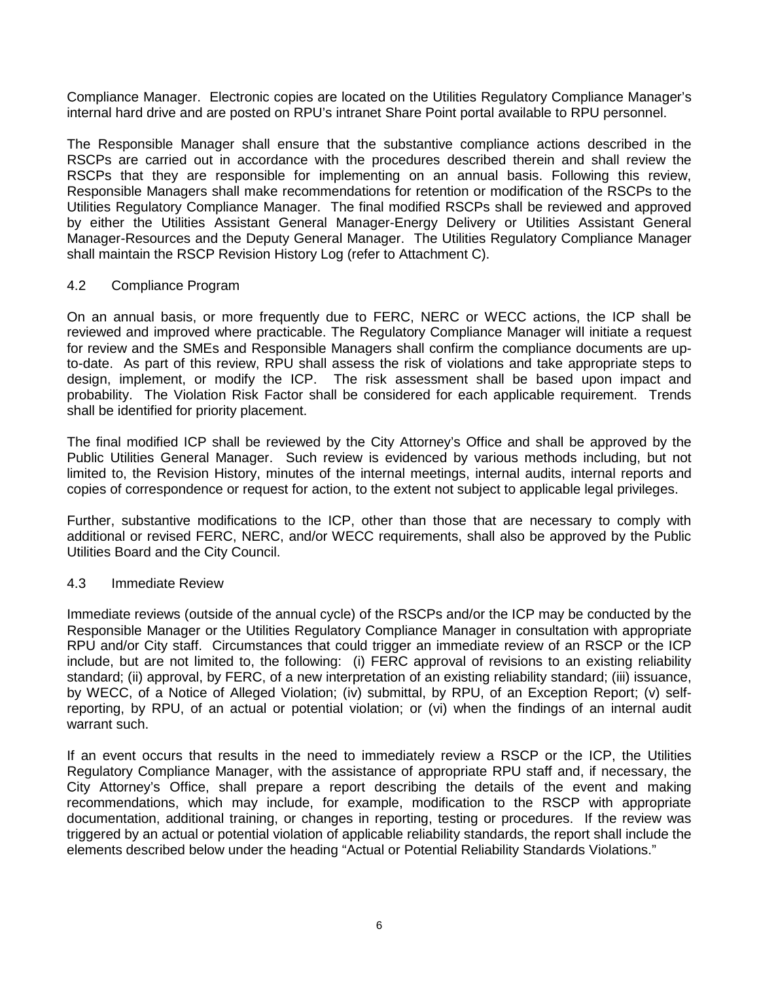Compliance Manager. Electronic copies are located on the Utilities Regulatory Compliance Manager's internal hard drive and are posted on RPU's intranet Share Point portal available to RPU personnel.

The Responsible Manager shall ensure that the substantive compliance actions described in the RSCPs are carried out in accordance with the procedures described therein and shall review the RSCPs that they are responsible for implementing on an annual basis. Following this review, Responsible Managers shall make recommendations for retention or modification of the RSCPs to the Utilities Regulatory Compliance Manager. The final modified RSCPs shall be reviewed and approved by either the Utilities Assistant General Manager-Energy Delivery or Utilities Assistant General Manager-Resources and the Deputy General Manager. The Utilities Regulatory Compliance Manager shall maintain the RSCP Revision History Log (refer to Attachment C).

### 4.2 Compliance Program

On an annual basis, or more frequently due to FERC, NERC or WECC actions, the ICP shall be reviewed and improved where practicable. The Regulatory Compliance Manager will initiate a request for review and the SMEs and Responsible Managers shall confirm the compliance documents are upto-date. As part of this review, RPU shall assess the risk of violations and take appropriate steps to design, implement, or modify the ICP. The risk assessment shall be based upon impact and probability. The Violation Risk Factor shall be considered for each applicable requirement. Trends shall be identified for priority placement.

The final modified ICP shall be reviewed by the City Attorney's Office and shall be approved by the Public Utilities General Manager. Such review is evidenced by various methods including, but not limited to, the Revision History, minutes of the internal meetings, internal audits, internal reports and copies of correspondence or request for action, to the extent not subject to applicable legal privileges.

Further, substantive modifications to the ICP, other than those that are necessary to comply with additional or revised FERC, NERC, and/or WECC requirements, shall also be approved by the Public Utilities Board and the City Council.

#### 4.3 Immediate Review

Immediate reviews (outside of the annual cycle) of the RSCPs and/or the ICP may be conducted by the Responsible Manager or the Utilities Regulatory Compliance Manager in consultation with appropriate RPU and/or City staff. Circumstances that could trigger an immediate review of an RSCP or the ICP include, but are not limited to, the following: (i) FERC approval of revisions to an existing reliability standard; (ii) approval, by FERC, of a new interpretation of an existing reliability standard; (iii) issuance, by WECC, of a Notice of Alleged Violation; (iv) submittal, by RPU, of an Exception Report; (v) selfreporting, by RPU, of an actual or potential violation; or (vi) when the findings of an internal audit warrant such.

If an event occurs that results in the need to immediately review a RSCP or the ICP, the Utilities Regulatory Compliance Manager, with the assistance of appropriate RPU staff and, if necessary, the City Attorney's Office, shall prepare a report describing the details of the event and making recommendations, which may include, for example, modification to the RSCP with appropriate documentation, additional training, or changes in reporting, testing or procedures. If the review was triggered by an actual or potential violation of applicable reliability standards, the report shall include the elements described below under the heading "Actual or Potential Reliability Standards Violations."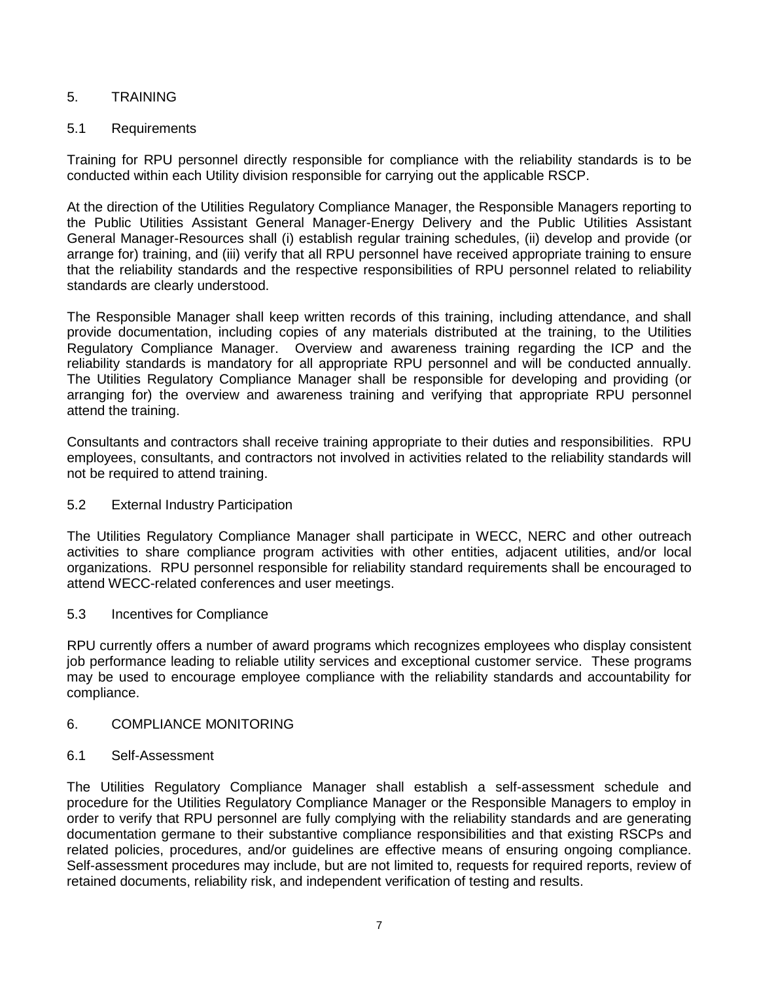## 5. TRAINING

## 5.1 Requirements

Training for RPU personnel directly responsible for compliance with the reliability standards is to be conducted within each Utility division responsible for carrying out the applicable RSCP.

At the direction of the Utilities Regulatory Compliance Manager, the Responsible Managers reporting to the Public Utilities Assistant General Manager-Energy Delivery and the Public Utilities Assistant General Manager-Resources shall (i) establish regular training schedules, (ii) develop and provide (or arrange for) training, and (iii) verify that all RPU personnel have received appropriate training to ensure that the reliability standards and the respective responsibilities of RPU personnel related to reliability standards are clearly understood.

The Responsible Manager shall keep written records of this training, including attendance, and shall provide documentation, including copies of any materials distributed at the training, to the Utilities Regulatory Compliance Manager. Overview and awareness training regarding the ICP and the reliability standards is mandatory for all appropriate RPU personnel and will be conducted annually. The Utilities Regulatory Compliance Manager shall be responsible for developing and providing (or arranging for) the overview and awareness training and verifying that appropriate RPU personnel attend the training.

Consultants and contractors shall receive training appropriate to their duties and responsibilities. RPU employees, consultants, and contractors not involved in activities related to the reliability standards will not be required to attend training.

## 5.2 External Industry Participation

The Utilities Regulatory Compliance Manager shall participate in WECC, NERC and other outreach activities to share compliance program activities with other entities, adjacent utilities, and/or local organizations. RPU personnel responsible for reliability standard requirements shall be encouraged to attend WECC-related conferences and user meetings.

## 5.3 Incentives for Compliance

RPU currently offers a number of award programs which recognizes employees who display consistent job performance leading to reliable utility services and exceptional customer service. These programs may be used to encourage employee compliance with the reliability standards and accountability for compliance.

#### 6. COMPLIANCE MONITORING

#### 6.1 Self-Assessment

The Utilities Regulatory Compliance Manager shall establish a self-assessment schedule and procedure for the Utilities Regulatory Compliance Manager or the Responsible Managers to employ in order to verify that RPU personnel are fully complying with the reliability standards and are generating documentation germane to their substantive compliance responsibilities and that existing RSCPs and related policies, procedures, and/or guidelines are effective means of ensuring ongoing compliance. Self-assessment procedures may include, but are not limited to, requests for required reports, review of retained documents, reliability risk, and independent verification of testing and results.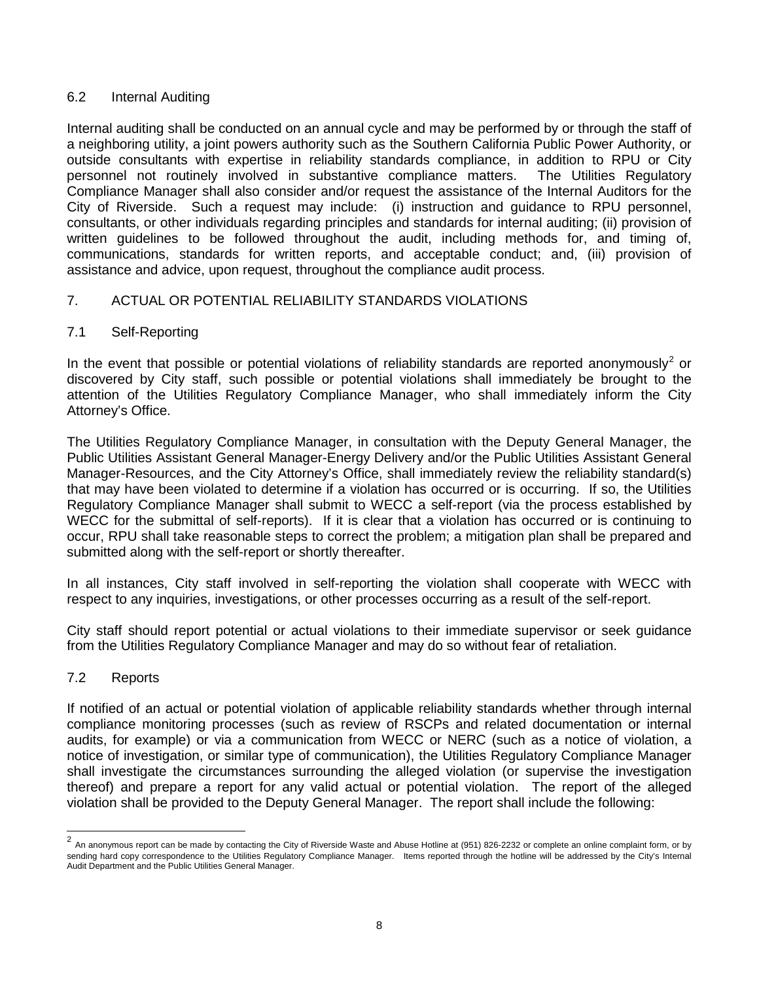## 6.2 Internal Auditing

Internal auditing shall be conducted on an annual cycle and may be performed by or through the staff of a neighboring utility, a joint powers authority such as the Southern California Public Power Authority, or outside consultants with expertise in reliability standards compliance, in addition to RPU or City personnel not routinely involved in substantive compliance matters. The Utilities Regulatory Compliance Manager shall also consider and/or request the assistance of the Internal Auditors for the City of Riverside. Such a request may include: (i) instruction and guidance to RPU personnel, consultants, or other individuals regarding principles and standards for internal auditing; (ii) provision of written guidelines to be followed throughout the audit, including methods for, and timing of, communications, standards for written reports, and acceptable conduct; and, (iii) provision of assistance and advice, upon request, throughout the compliance audit process.

## 7. ACTUAL OR POTENTIAL RELIABILITY STANDARDS VIOLATIONS

## 7.1 Self-Reporting

In the event that possible or potential violations of reliability standards are reported anonymously<sup>[2](#page-7-0)</sup> or discovered by City staff, such possible or potential violations shall immediately be brought to the attention of the Utilities Regulatory Compliance Manager, who shall immediately inform the City Attorney's Office.

The Utilities Regulatory Compliance Manager, in consultation with the Deputy General Manager, the Public Utilities Assistant General Manager-Energy Delivery and/or the Public Utilities Assistant General Manager-Resources, and the City Attorney's Office, shall immediately review the reliability standard(s) that may have been violated to determine if a violation has occurred or is occurring. If so, the Utilities Regulatory Compliance Manager shall submit to WECC a self-report (via the process established by WECC for the submittal of self-reports). If it is clear that a violation has occurred or is continuing to occur, RPU shall take reasonable steps to correct the problem; a mitigation plan shall be prepared and submitted along with the self-report or shortly thereafter.

In all instances, City staff involved in self-reporting the violation shall cooperate with WECC with respect to any inquiries, investigations, or other processes occurring as a result of the self-report.

City staff should report potential or actual violations to their immediate supervisor or seek guidance from the Utilities Regulatory Compliance Manager and may do so without fear of retaliation.

## 7.2 Reports

If notified of an actual or potential violation of applicable reliability standards whether through internal compliance monitoring processes (such as review of RSCPs and related documentation or internal audits, for example) or via a communication from WECC or NERC (such as a notice of violation, a notice of investigation, or similar type of communication), the Utilities Regulatory Compliance Manager shall investigate the circumstances surrounding the alleged violation (or supervise the investigation thereof) and prepare a report for any valid actual or potential violation. The report of the alleged violation shall be provided to the Deputy General Manager. The report shall include the following:

<span id="page-7-0"></span><sup>2&</sup>lt;br>2 An anonymous report can be made by contacting the City of Riverside Waste and Abuse Hotline at (951) 826-2232 or complete an online complaint form, or by sending hard copy correspondence to the Utilities Regulatory Compliance Manager. Items reported through the hotline will be addressed by the City's Internal Audit Department and the Public Utilities General Manager.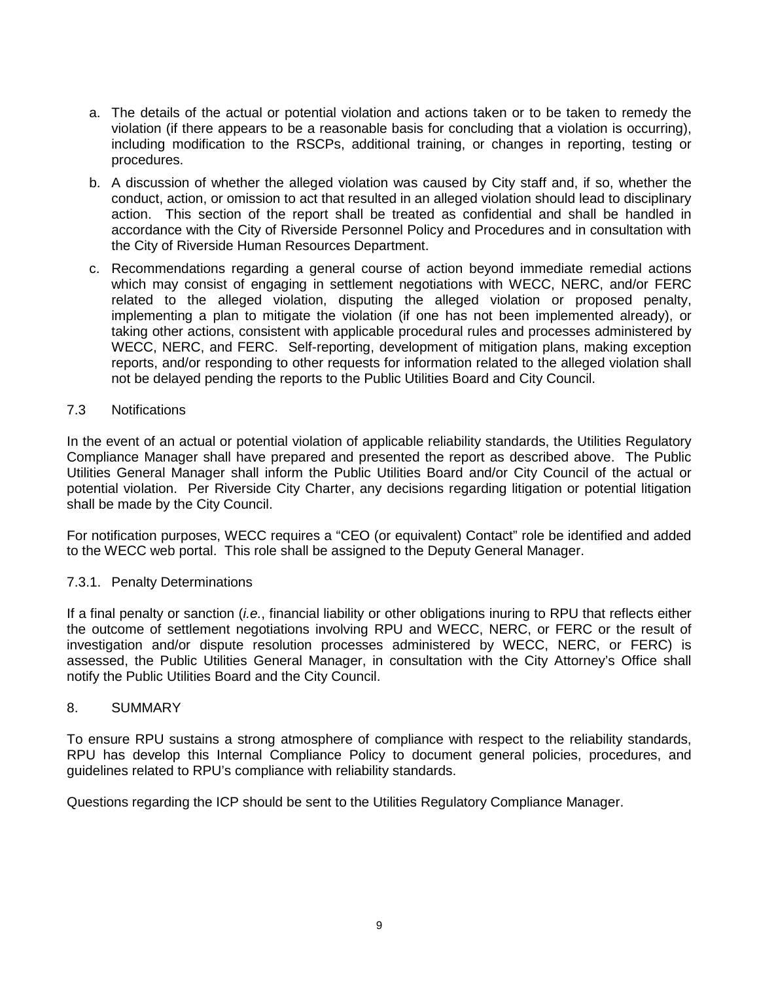- a. The details of the actual or potential violation and actions taken or to be taken to remedy the violation (if there appears to be a reasonable basis for concluding that a violation is occurring), including modification to the RSCPs, additional training, or changes in reporting, testing or procedures.
- b. A discussion of whether the alleged violation was caused by City staff and, if so, whether the conduct, action, or omission to act that resulted in an alleged violation should lead to disciplinary action. This section of the report shall be treated as confidential and shall be handled in accordance with the City of Riverside Personnel Policy and Procedures and in consultation with the City of Riverside Human Resources Department.
- c. Recommendations regarding a general course of action beyond immediate remedial actions which may consist of engaging in settlement negotiations with WECC, NERC, and/or FERC related to the alleged violation, disputing the alleged violation or proposed penalty, implementing a plan to mitigate the violation (if one has not been implemented already), or taking other actions, consistent with applicable procedural rules and processes administered by WECC, NERC, and FERC. Self-reporting, development of mitigation plans, making exception reports, and/or responding to other requests for information related to the alleged violation shall not be delayed pending the reports to the Public Utilities Board and City Council.

### 7.3 Notifications

In the event of an actual or potential violation of applicable reliability standards, the Utilities Regulatory Compliance Manager shall have prepared and presented the report as described above. The Public Utilities General Manager shall inform the Public Utilities Board and/or City Council of the actual or potential violation. Per Riverside City Charter, any decisions regarding litigation or potential litigation shall be made by the City Council.

For notification purposes, WECC requires a "CEO (or equivalent) Contact" role be identified and added to the WECC web portal. This role shall be assigned to the Deputy General Manager.

## 7.3.1. Penalty Determinations

If a final penalty or sanction (*i.e.*, financial liability or other obligations inuring to RPU that reflects either the outcome of settlement negotiations involving RPU and WECC, NERC, or FERC or the result of investigation and/or dispute resolution processes administered by WECC, NERC, or FERC) is assessed, the Public Utilities General Manager, in consultation with the City Attorney's Office shall notify the Public Utilities Board and the City Council.

#### 8. SUMMARY

To ensure RPU sustains a strong atmosphere of compliance with respect to the reliability standards, RPU has develop this Internal Compliance Policy to document general policies, procedures, and guidelines related to RPU's compliance with reliability standards.

Questions regarding the ICP should be sent to the Utilities Regulatory Compliance Manager.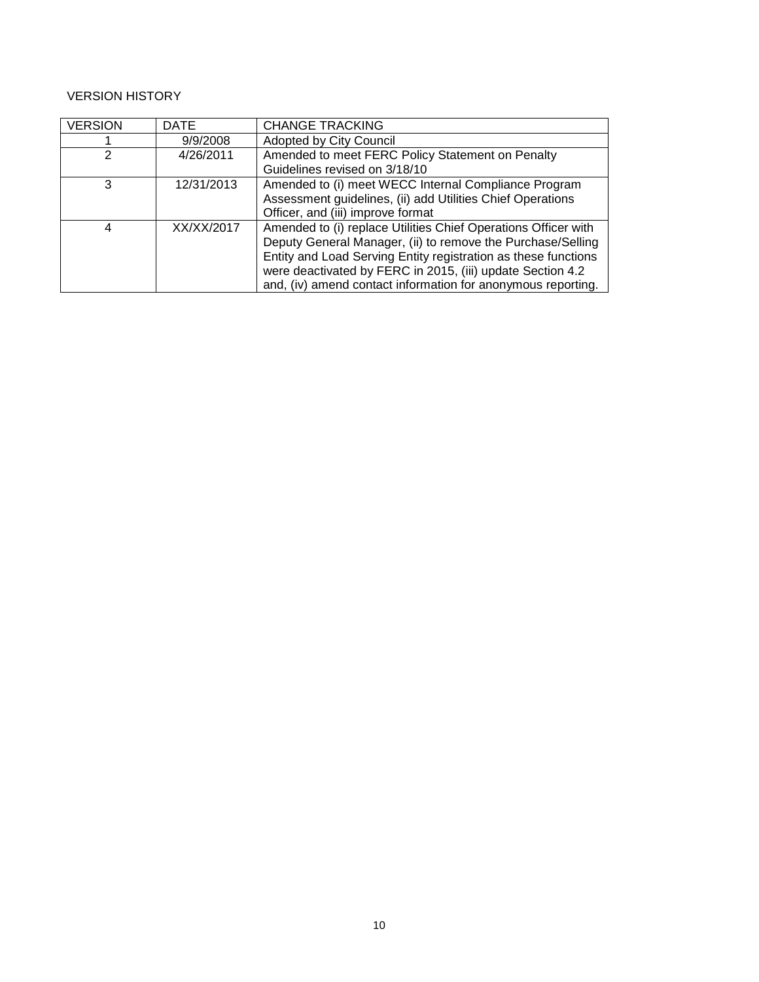| <b>VERSION</b> | <b>DATE</b> | <b>CHANGE TRACKING</b>                                         |  |
|----------------|-------------|----------------------------------------------------------------|--|
|                | 9/9/2008    | Adopted by City Council                                        |  |
| 2              | 4/26/2011   | Amended to meet FERC Policy Statement on Penalty               |  |
|                |             | Guidelines revised on 3/18/10                                  |  |
| 3              | 12/31/2013  | Amended to (i) meet WECC Internal Compliance Program           |  |
|                |             | Assessment guidelines, (ii) add Utilities Chief Operations     |  |
|                |             | Officer, and (iii) improve format                              |  |
| 4              | XX/XX/2017  | Amended to (i) replace Utilities Chief Operations Officer with |  |
|                |             | Deputy General Manager, (ii) to remove the Purchase/Selling    |  |
|                |             | Entity and Load Serving Entity registration as these functions |  |
|                |             | were deactivated by FERC in 2015, (iii) update Section 4.2     |  |
|                |             | and, (iv) amend contact information for anonymous reporting.   |  |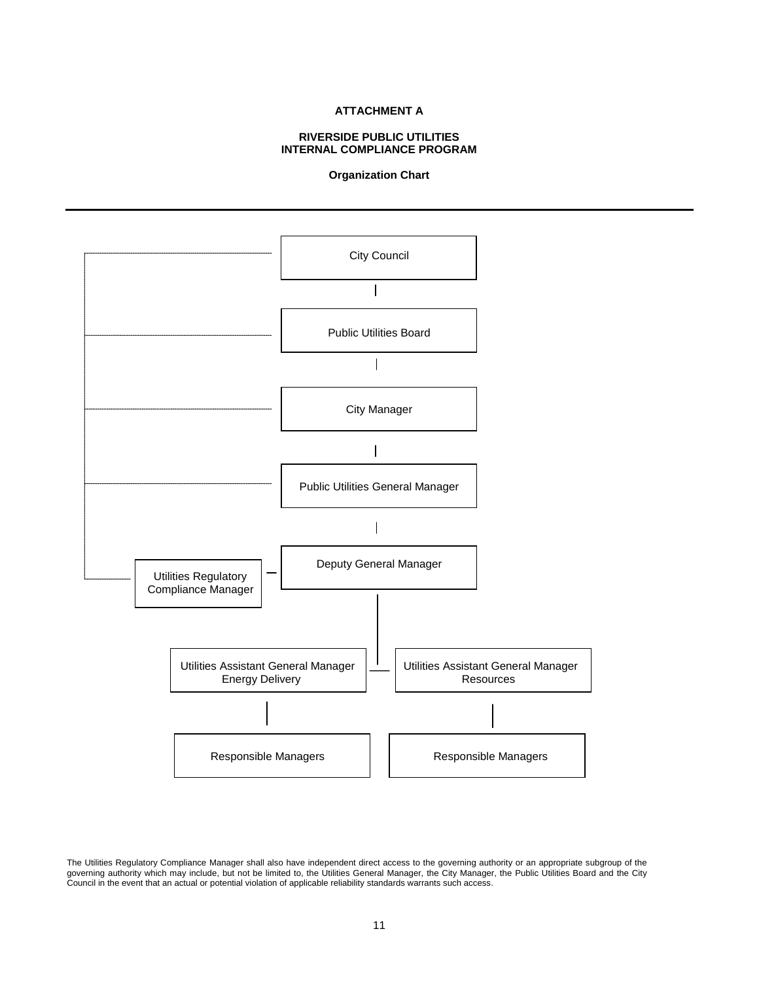#### **ATTACHMENT A**

#### **RIVERSIDE PUBLIC UTILITIES INTERNAL COMPLIANCE PROGRAM**

#### **Organization Chart**



The Utilities Regulatory Compliance Manager shall also have independent direct access to the governing authority or an appropriate subgroup of the governing authority which may include, but not be limited to, the Utilities General Manager, the City Manager, the Public Utilities Board and the City Council in the event that an actual or potential violation of applicable reliability standards warrants such access.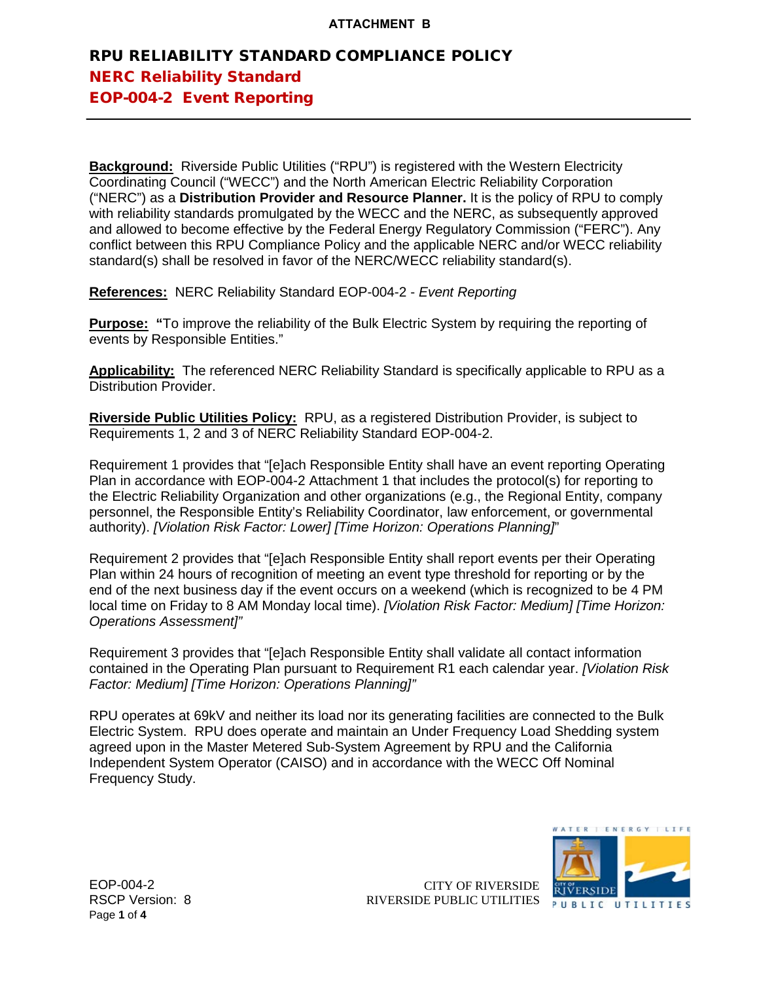**Background:** Riverside Public Utilities ("RPU") is registered with the Western Electricity Coordinating Council ("WECC") and the North American Electric Reliability Corporation ("NERC") as a **Distribution Provider and Resource Planner.** It is the policy of RPU to comply with reliability standards promulgated by the WECC and the NERC, as subsequently approved and allowed to become effective by the Federal Energy Regulatory Commission ("FERC"). Any conflict between this RPU Compliance Policy and the applicable NERC and/or WECC reliability standard(s) shall be resolved in favor of the NERC/WECC reliability standard(s).

**References:** NERC Reliability Standard EOP-004-2 - *Event Reporting*

**Purpose: "**To improve the reliability of the Bulk Electric System by requiring the reporting of events by Responsible Entities."

**Applicability:** The referenced NERC Reliability Standard is specifically applicable to RPU as a Distribution Provider.

**Riverside Public Utilities Policy:** RPU, as a registered Distribution Provider, is subject to Requirements 1, 2 and 3 of NERC Reliability Standard EOP-004-2.

Requirement 1 provides that "[e]ach Responsible Entity shall have an event reporting Operating Plan in accordance with EOP-004-2 Attachment 1 that includes the protocol(s) for reporting to the Electric Reliability Organization and other organizations (e.g., the Regional Entity, company personnel, the Responsible Entity's Reliability Coordinator, law enforcement, or governmental authority). *[Violation Risk Factor: Lower] [Time Horizon: Operations Planning]*"

Requirement 2 provides that "[e]ach Responsible Entity shall report events per their Operating Plan within 24 hours of recognition of meeting an event type threshold for reporting or by the end of the next business day if the event occurs on a weekend (which is recognized to be 4 PM local time on Friday to 8 AM Monday local time). *[Violation Risk Factor: Medium] [Time Horizon: Operations Assessment]"*

Requirement 3 provides that "[e]ach Responsible Entity shall validate all contact information contained in the Operating Plan pursuant to Requirement R1 each calendar year. *[Violation Risk Factor: Medium] [Time Horizon: Operations Planning]"*

RPU operates at 69kV and neither its load nor its generating facilities are connected to the Bulk Electric System. RPU does operate and maintain an Under Frequency Load Shedding system agreed upon in the Master Metered Sub-System Agreement by RPU and the California Independent System Operator (CAISO) and in accordance with the WECC Off Nominal Frequency Study.



EOP-004-2 RSCP Version: 8 Page **1** of **4**

CITY OF RIVERSIDE RIVERSIDE PUBLIC UTILITIES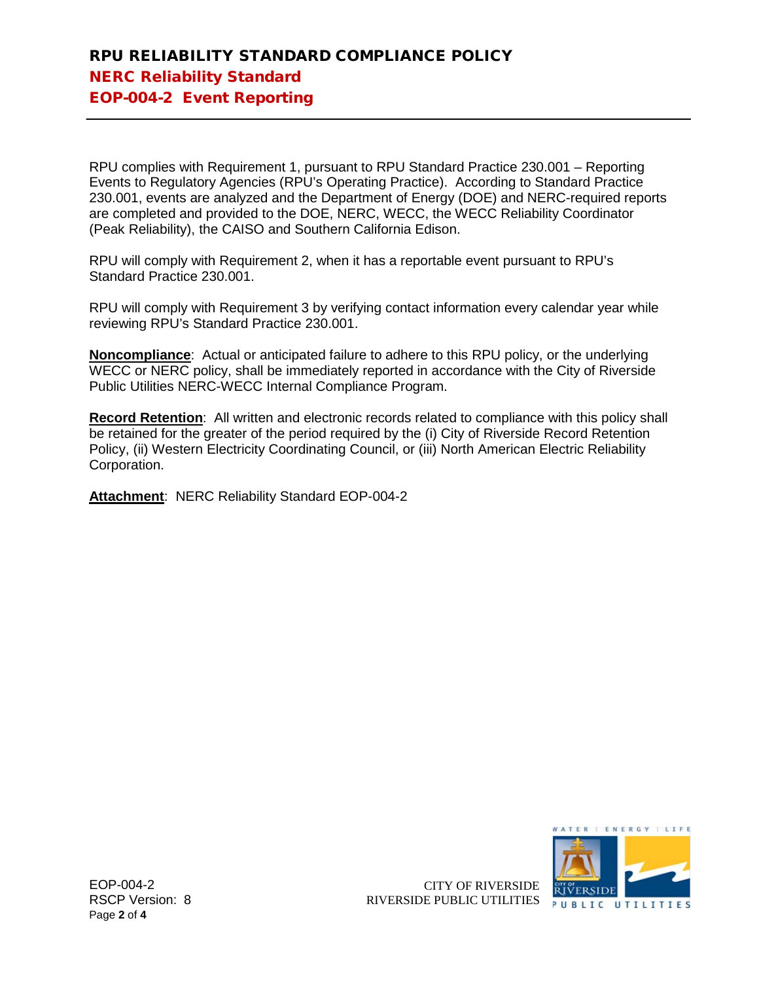RPU complies with Requirement 1, pursuant to RPU Standard Practice 230.001 – Reporting Events to Regulatory Agencies (RPU's Operating Practice). According to Standard Practice 230.001, events are analyzed and the Department of Energy (DOE) and NERC-required reports are completed and provided to the DOE, NERC, WECC, the WECC Reliability Coordinator (Peak Reliability), the CAISO and Southern California Edison.

RPU will comply with Requirement 2, when it has a reportable event pursuant to RPU's Standard Practice 230.001.

RPU will comply with Requirement 3 by verifying contact information every calendar year while reviewing RPU's Standard Practice 230.001.

**Noncompliance**: Actual or anticipated failure to adhere to this RPU policy, or the underlying WECC or NERC policy, shall be immediately reported in accordance with the City of Riverside Public Utilities NERC-WECC Internal Compliance Program.

**Record Retention**: All written and electronic records related to compliance with this policy shall be retained for the greater of the period required by the (i) City of Riverside Record Retention Policy, (ii) Western Electricity Coordinating Council, or (iii) North American Electric Reliability Corporation.

**Attachment**: NERC Reliability Standard EOP-004-2



EOP-004-2 RSCP Version: 8 Page **2** of **4**

CITY OF RIVERSIDE RIVERSIDE PUBLIC UTILITIES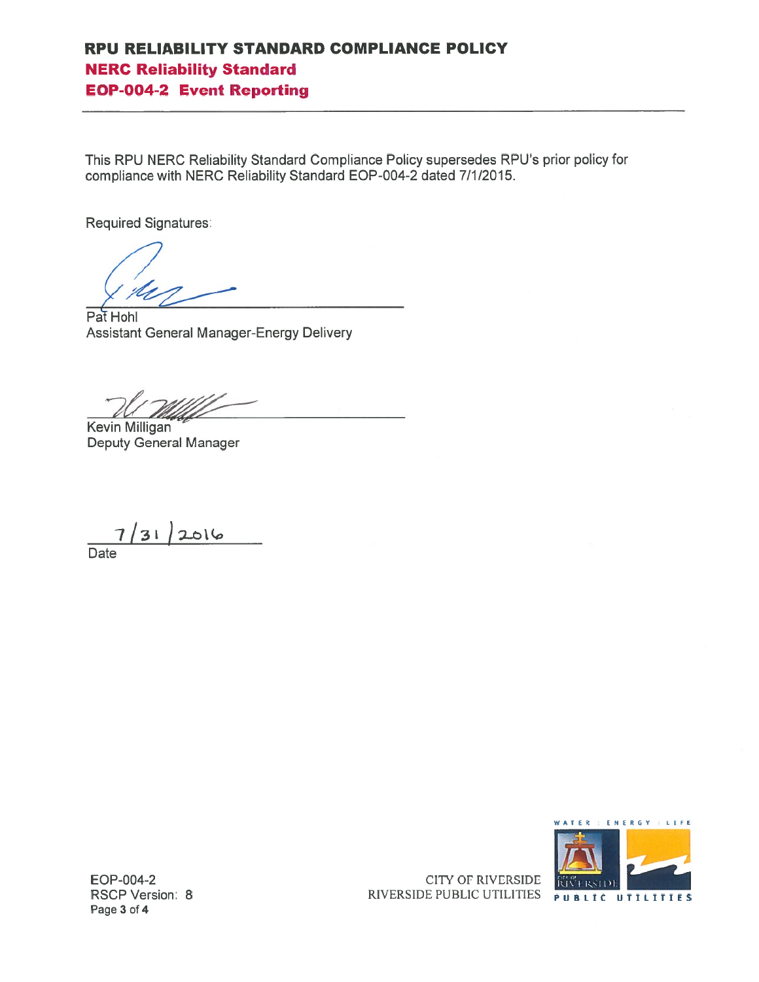This RPU NERC Reliability Standard Compliance Policy supersedes RPU's prior policy for compliance with NERC Reliability Standard EOP-004-2 dated 7/1/2015.

**Required Signatures:** 

Pat Hohl **Assistant General Manager-Energy Delivery** 

Kevin Milligan **Deputy General Manager** 

 $7/31/2016$ 

Date



EOP-004-2 **RSCP Version: 8** Page 3 of 4

**CITY OF RIVERSIDE** RIVERSIDE PUBLIC UTILITIES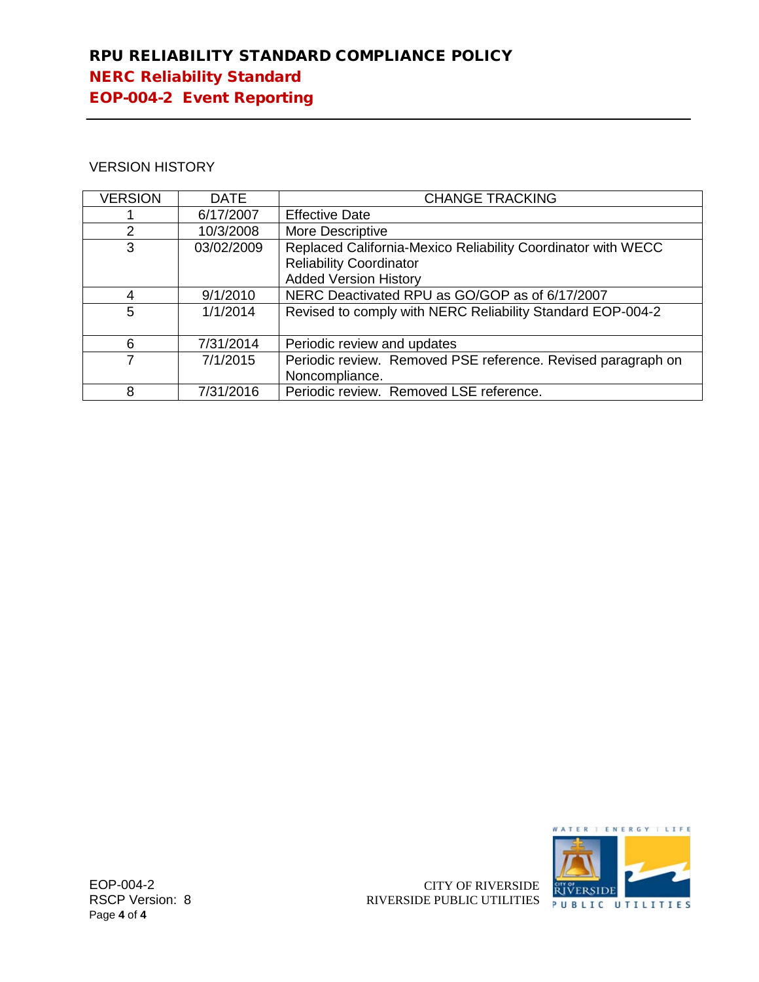## VERSION HISTORY

| <b>VERSION</b> | <b>DATE</b> | <b>CHANGE TRACKING</b>                                       |
|----------------|-------------|--------------------------------------------------------------|
|                | 6/17/2007   | <b>Effective Date</b>                                        |
| $\mathcal{P}$  | 10/3/2008   | More Descriptive                                             |
| 3              | 03/02/2009  | Replaced California-Mexico Reliability Coordinator with WECC |
|                |             | <b>Reliability Coordinator</b>                               |
|                |             | <b>Added Version History</b>                                 |
| 4              | 9/1/2010    | NERC Deactivated RPU as GO/GOP as of 6/17/2007               |
| 5              | 1/1/2014    | Revised to comply with NERC Reliability Standard EOP-004-2   |
|                |             |                                                              |
| 6              | 7/31/2014   | Periodic review and updates                                  |
|                | 7/1/2015    | Periodic review. Removed PSE reference. Revised paragraph on |
|                |             | Noncompliance.                                               |
| 8              | 7/31/2016   | Periodic review. Removed LSE reference.                      |



EOP-004-2 RSCP Version: 8 Page **4** of **4**

CITY OF RIVERSIDE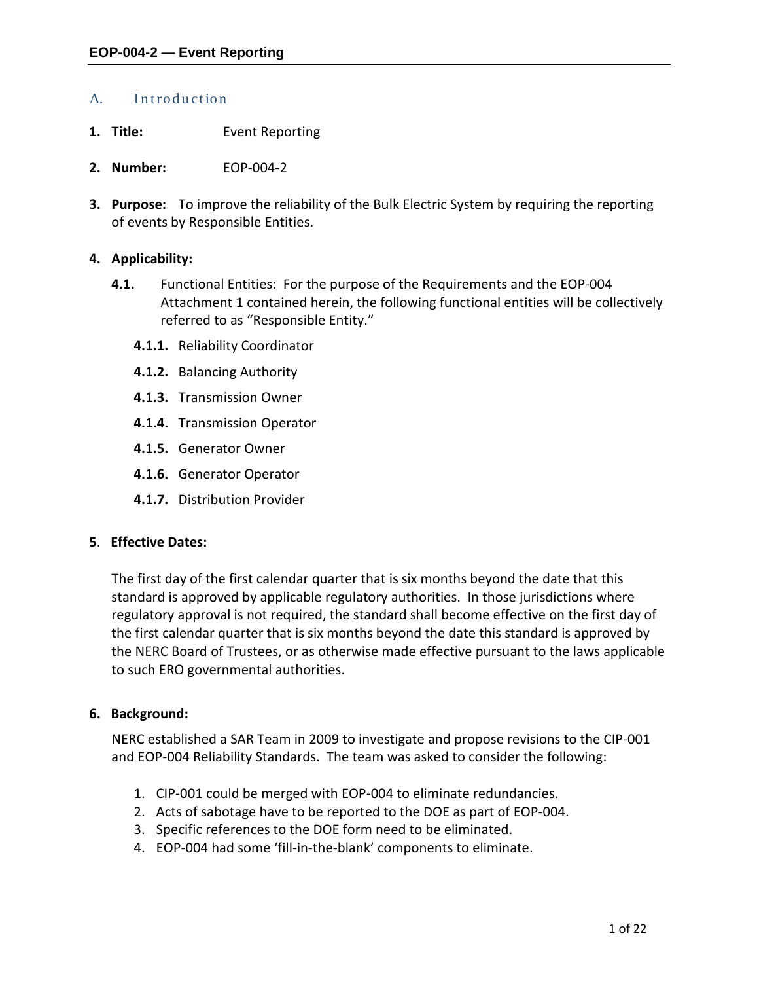## A. Introduction

- **1. Title:** Event Reporting
- **2. Number:** EOP-004-2
- **3. Purpose:** To improve the reliability of the Bulk Electric System by requiring the reporting of events by Responsible Entities.

### **4. Applicability:**

- **4.1.** Functional Entities: For the purpose of the Requirements and the EOP-004 Attachment 1 contained herein, the following functional entities will be collectively referred to as "Responsible Entity."
	- **4.1.1.** Reliability Coordinator
	- **4.1.2.** Balancing Authority
	- **4.1.3.** Transmission Owner
	- **4.1.4.** Transmission Operator
	- **4.1.5.** Generator Owner
	- **4.1.6.** Generator Operator
	- **4.1.7.** Distribution Provider

#### **5**. **Effective Dates:**

The first day of the first calendar quarter that is six months beyond the date that this standard is approved by applicable regulatory authorities. In those jurisdictions where regulatory approval is not required, the standard shall become effective on the first day of the first calendar quarter that is six months beyond the date this standard is approved by the NERC Board of Trustees, or as otherwise made effective pursuant to the laws applicable to such ERO governmental authorities.

#### **6. Background:**

NERC established a SAR Team in 2009 to investigate and propose revisions to the CIP-001 and EOP-004 Reliability Standards. The team was asked to consider the following:

- 1. CIP-001 could be merged with EOP-004 to eliminate redundancies.
- 2. Acts of sabotage have to be reported to the DOE as part of EOP-004.
- 3. Specific references to the DOE form need to be eliminated.
- 4. EOP-004 had some 'fill-in-the-blank' components to eliminate.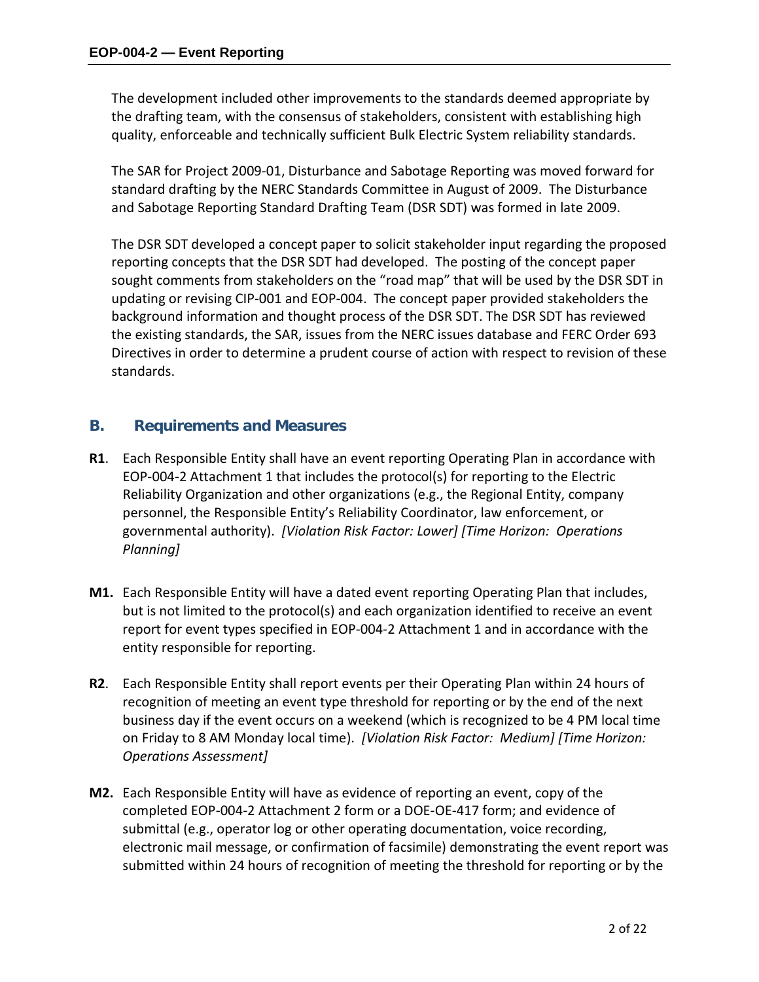The development included other improvements to the standards deemed appropriate by the drafting team, with the consensus of stakeholders, consistent with establishing high quality, enforceable and technically sufficient Bulk Electric System reliability standards.

The SAR for Project 2009-01, Disturbance and Sabotage Reporting was moved forward for standard drafting by the NERC Standards Committee in August of 2009. The Disturbance and Sabotage Reporting Standard Drafting Team (DSR SDT) was formed in late 2009.

The DSR SDT developed a concept paper to solicit stakeholder input regarding the proposed reporting concepts that the DSR SDT had developed. The posting of the concept paper sought comments from stakeholders on the "road map" that will be used by the DSR SDT in updating or revising CIP-001 and EOP-004. The concept paper provided stakeholders the background information and thought process of the DSR SDT. The DSR SDT has reviewed the existing standards, the SAR, issues from the NERC issues database and FERC Order 693 Directives in order to determine a prudent course of action with respect to revision of these standards.

## **B. Requirements and Measures**

- **R1**. Each Responsible Entity shall have an event reporting Operating Plan in accordance with EOP-004-2 Attachment 1 that includes the protocol(s) for reporting to the Electric Reliability Organization and other organizations (e.g., the Regional Entity, company personnel, the Responsible Entity's Reliability Coordinator, law enforcement, or governmental authority). *[Violation Risk Factor: Lower] [Time Horizon: Operations Planning]*
- **M1.** Each Responsible Entity will have a dated event reporting Operating Plan that includes, but is not limited to the protocol(s) and each organization identified to receive an event report for event types specified in EOP-004-2 Attachment 1 and in accordance with the entity responsible for reporting.
- **R2**. Each Responsible Entity shall report events per their Operating Plan within 24 hours of recognition of meeting an event type threshold for reporting or by the end of the next business day if the event occurs on a weekend (which is recognized to be 4 PM local time on Friday to 8 AM Monday local time). *[Violation Risk Factor: Medium] [Time Horizon: Operations Assessment]*
- **M2.** Each Responsible Entity will have as evidence of reporting an event, copy of the completed EOP-004-2 Attachment 2 form or a DOE-OE-417 form; and evidence of submittal (e.g., operator log or other operating documentation, voice recording, electronic mail message, or confirmation of facsimile) demonstrating the event report was submitted within 24 hours of recognition of meeting the threshold for reporting or by the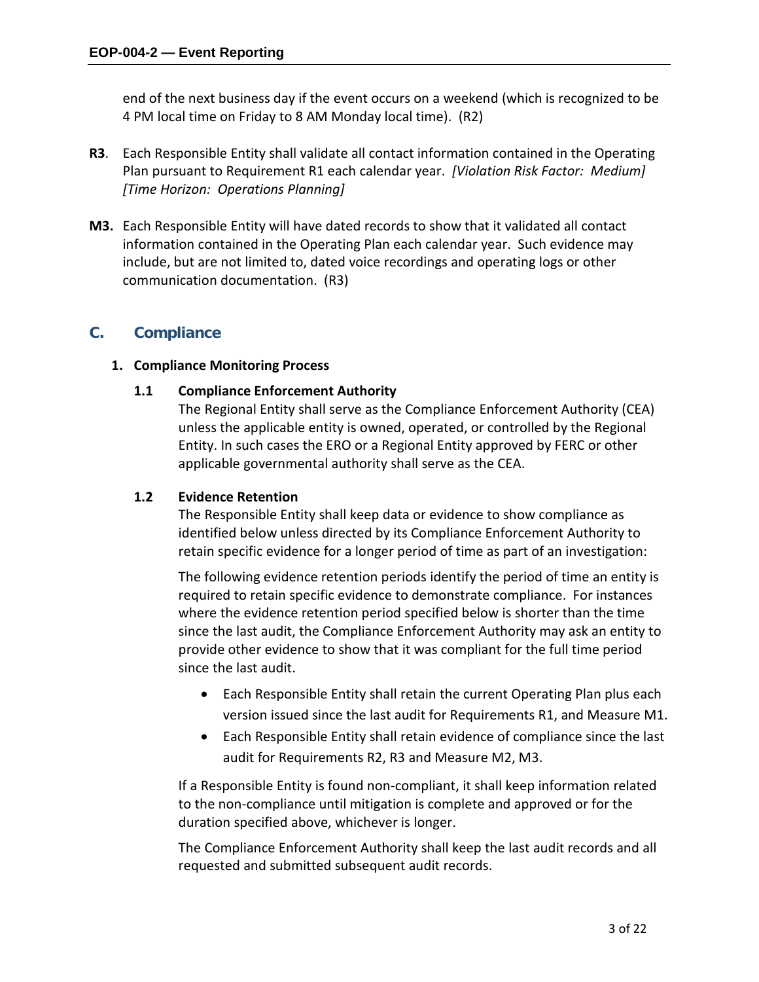end of the next business day if the event occurs on a weekend (which is recognized to be 4 PM local time on Friday to 8 AM Monday local time). (R2)

- **R3**. Each Responsible Entity shall validate all contact information contained in the Operating Plan pursuant to Requirement R1 each calendar year. *[Violation Risk Factor: Medium] [Time Horizon: Operations Planning]*
- **M3.** Each Responsible Entity will have dated records to show that it validated all contact information contained in the Operating Plan each calendar year. Such evidence may include, but are not limited to, dated voice recordings and operating logs or other communication documentation. (R3)

## **C. Compliance**

## **1. Compliance Monitoring Process**

## **1.1 Compliance Enforcement Authority**

The Regional Entity shall serve as the Compliance Enforcement Authority (CEA) unless the applicable entity is owned, operated, or controlled by the Regional Entity. In such cases the ERO or a Regional Entity approved by FERC or other applicable governmental authority shall serve as the CEA.

## **1.2 Evidence Retention**

The Responsible Entity shall keep data or evidence to show compliance as identified below unless directed by its Compliance Enforcement Authority to retain specific evidence for a longer period of time as part of an investigation:

The following evidence retention periods identify the period of time an entity is required to retain specific evidence to demonstrate compliance. For instances where the evidence retention period specified below is shorter than the time since the last audit, the Compliance Enforcement Authority may ask an entity to provide other evidence to show that it was compliant for the full time period since the last audit.

- Each Responsible Entity shall retain the current Operating Plan plus each version issued since the last audit for Requirements R1, and Measure M1.
- Each Responsible Entity shall retain evidence of compliance since the last audit for Requirements R2, R3 and Measure M2, M3.

If a Responsible Entity is found non-compliant, it shall keep information related to the non-compliance until mitigation is complete and approved or for the duration specified above, whichever is longer.

The Compliance Enforcement Authority shall keep the last audit records and all requested and submitted subsequent audit records.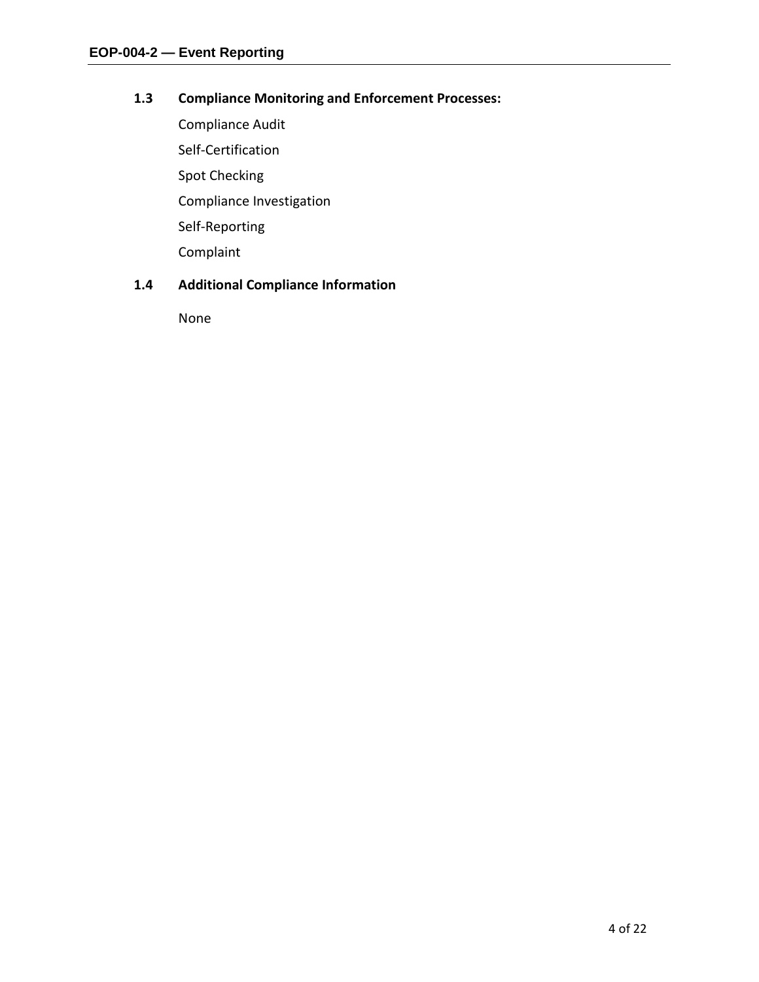## **1.3 Compliance Monitoring and Enforcement Processes:**

Compliance Audit Self-Certification Spot Checking Compliance Investigation Self-Reporting Complaint

## **1.4 Additional Compliance Information**

None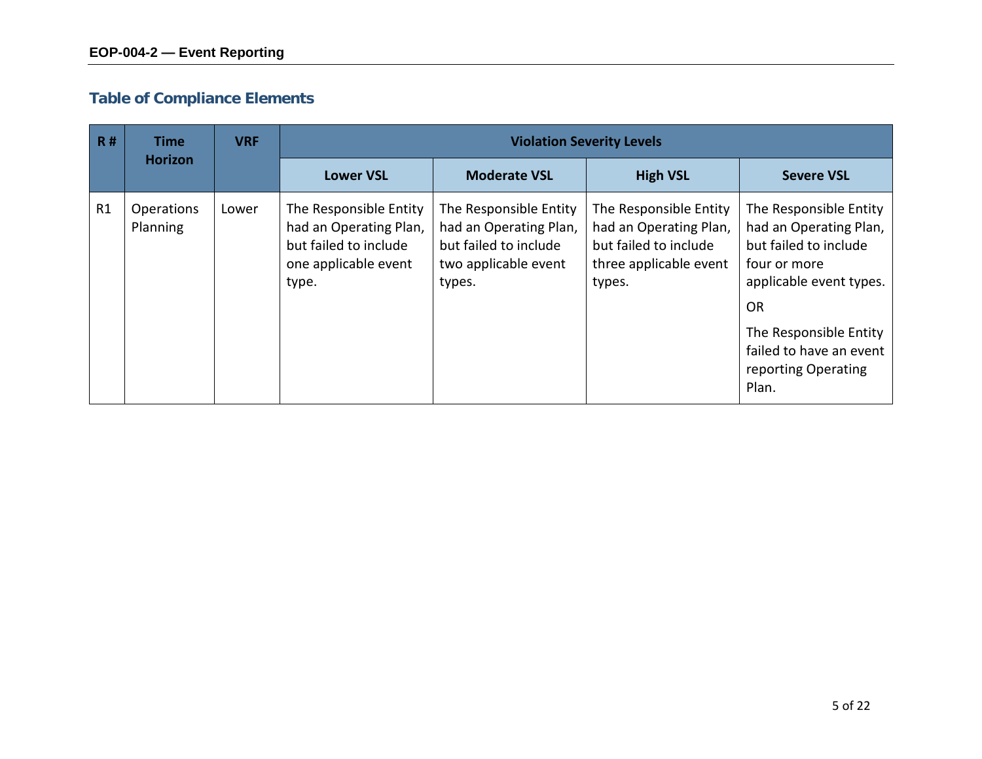# **Table of Compliance Elements**

| R# | Time                          | <b>VRF</b> |                                                                                                            |                                                                                                             | <b>Violation Severity Levels</b>                                                                              |                                                                                                                                                                                                                        |
|----|-------------------------------|------------|------------------------------------------------------------------------------------------------------------|-------------------------------------------------------------------------------------------------------------|---------------------------------------------------------------------------------------------------------------|------------------------------------------------------------------------------------------------------------------------------------------------------------------------------------------------------------------------|
|    | <b>Horizon</b>                |            | <b>Lower VSL</b>                                                                                           | <b>Moderate VSL</b>                                                                                         | <b>High VSL</b>                                                                                               | <b>Severe VSL</b>                                                                                                                                                                                                      |
| R1 | <b>Operations</b><br>Planning | Lower      | The Responsible Entity<br>had an Operating Plan,<br>but failed to include<br>one applicable event<br>type. | The Responsible Entity<br>had an Operating Plan,<br>but failed to include<br>two applicable event<br>types. | The Responsible Entity<br>had an Operating Plan,<br>but failed to include<br>three applicable event<br>types. | The Responsible Entity<br>had an Operating Plan,<br>but failed to include<br>four or more<br>applicable event types.<br><b>OR</b><br>The Responsible Entity<br>failed to have an event<br>reporting Operating<br>Plan. |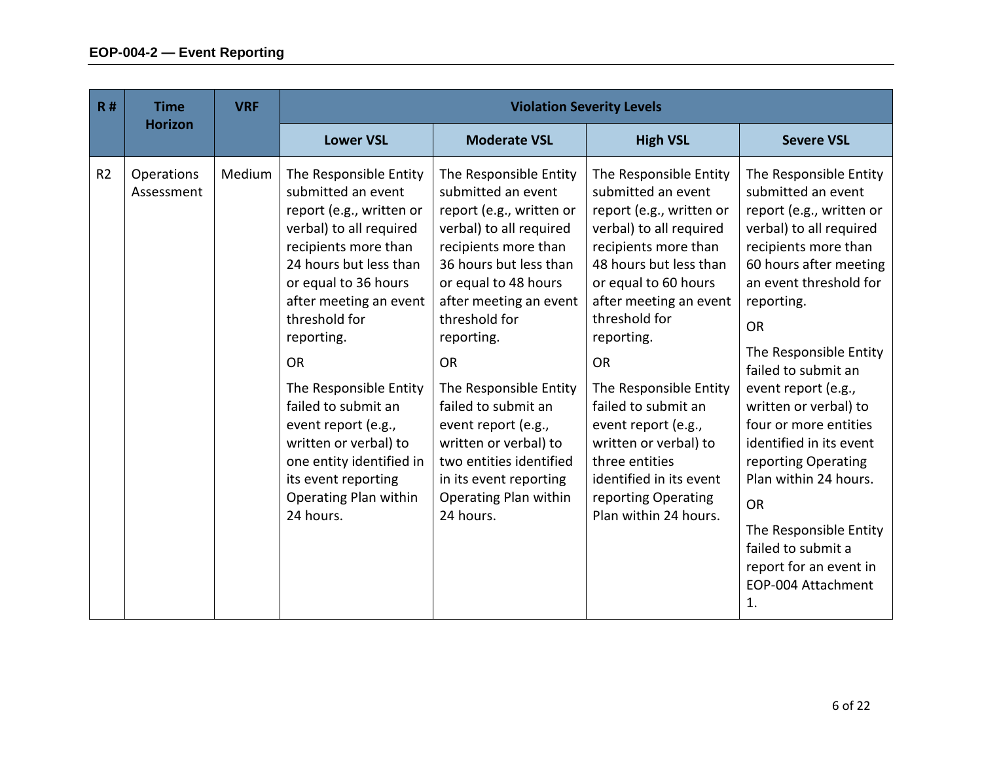| R#             | <b>Time</b>              | <b>VRF</b> | <b>Violation Severity Levels</b>                                                                                                                                                                                                                                                                                                                                                                                                              |                                                                                                                                                                                                                                                                                                                                                                                                                                                 |                                                                                                                                                                                                                                                                                                                                                                                                                                                   |                                                                                                                                                                                                                                                                                                                                                                                                                                                                                                                                                |  |
|----------------|--------------------------|------------|-----------------------------------------------------------------------------------------------------------------------------------------------------------------------------------------------------------------------------------------------------------------------------------------------------------------------------------------------------------------------------------------------------------------------------------------------|-------------------------------------------------------------------------------------------------------------------------------------------------------------------------------------------------------------------------------------------------------------------------------------------------------------------------------------------------------------------------------------------------------------------------------------------------|---------------------------------------------------------------------------------------------------------------------------------------------------------------------------------------------------------------------------------------------------------------------------------------------------------------------------------------------------------------------------------------------------------------------------------------------------|------------------------------------------------------------------------------------------------------------------------------------------------------------------------------------------------------------------------------------------------------------------------------------------------------------------------------------------------------------------------------------------------------------------------------------------------------------------------------------------------------------------------------------------------|--|
|                | <b>Horizon</b>           |            | <b>Lower VSL</b>                                                                                                                                                                                                                                                                                                                                                                                                                              | <b>Moderate VSL</b>                                                                                                                                                                                                                                                                                                                                                                                                                             | <b>High VSL</b>                                                                                                                                                                                                                                                                                                                                                                                                                                   | <b>Severe VSL</b>                                                                                                                                                                                                                                                                                                                                                                                                                                                                                                                              |  |
| R <sub>2</sub> | Operations<br>Assessment | Medium     | The Responsible Entity<br>submitted an event<br>report (e.g., written or<br>verbal) to all required<br>recipients more than<br>24 hours but less than<br>or equal to 36 hours<br>after meeting an event<br>threshold for<br>reporting.<br><b>OR</b><br>The Responsible Entity<br>failed to submit an<br>event report (e.g.,<br>written or verbal) to<br>one entity identified in<br>its event reporting<br>Operating Plan within<br>24 hours. | The Responsible Entity<br>submitted an event<br>report (e.g., written or<br>verbal) to all required<br>recipients more than<br>36 hours but less than<br>or equal to 48 hours<br>after meeting an event<br>threshold for<br>reporting.<br><b>OR</b><br>The Responsible Entity<br>failed to submit an<br>event report (e.g.,<br>written or verbal) to<br>two entities identified<br>in its event reporting<br>Operating Plan within<br>24 hours. | The Responsible Entity<br>submitted an event<br>report (e.g., written or<br>verbal) to all required<br>recipients more than<br>48 hours but less than<br>or equal to 60 hours<br>after meeting an event<br>threshold for<br>reporting.<br><b>OR</b><br>The Responsible Entity<br>failed to submit an<br>event report (e.g.,<br>written or verbal) to<br>three entities<br>identified in its event<br>reporting Operating<br>Plan within 24 hours. | The Responsible Entity<br>submitted an event<br>report (e.g., written or<br>verbal) to all required<br>recipients more than<br>60 hours after meeting<br>an event threshold for<br>reporting.<br><b>OR</b><br>The Responsible Entity<br>failed to submit an<br>event report (e.g.,<br>written or verbal) to<br>four or more entities<br>identified in its event<br>reporting Operating<br>Plan within 24 hours.<br><b>OR</b><br>The Responsible Entity<br>failed to submit a<br>report for an event in<br>EOP-004 Attachment<br>$\mathbf{1}$ . |  |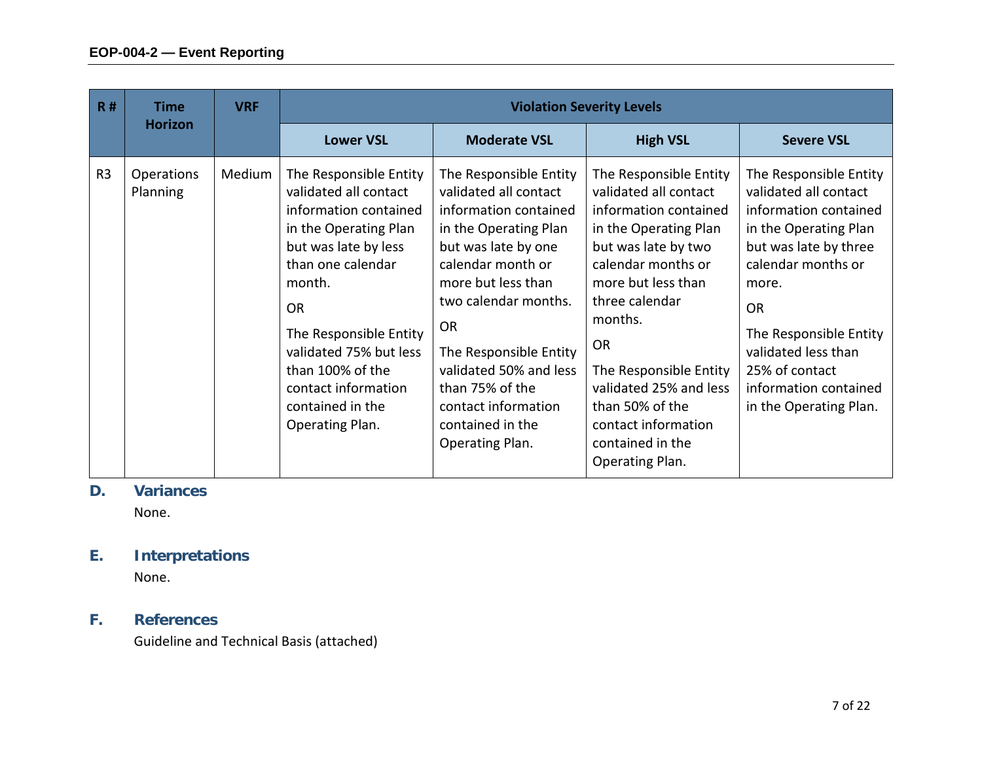| R#             | <b>Time</b>            | <b>VRF</b> |                                                                                                                                                                                                                                                                                                             |                                                                                                                                                                                                                                                                                                                                               | <b>Violation Severity Levels</b>                                                                                                                                                                                                                                                                                                             |                                                                                                                                                                                                                                                                                              |
|----------------|------------------------|------------|-------------------------------------------------------------------------------------------------------------------------------------------------------------------------------------------------------------------------------------------------------------------------------------------------------------|-----------------------------------------------------------------------------------------------------------------------------------------------------------------------------------------------------------------------------------------------------------------------------------------------------------------------------------------------|----------------------------------------------------------------------------------------------------------------------------------------------------------------------------------------------------------------------------------------------------------------------------------------------------------------------------------------------|----------------------------------------------------------------------------------------------------------------------------------------------------------------------------------------------------------------------------------------------------------------------------------------------|
|                | <b>Horizon</b>         |            | <b>Lower VSL</b>                                                                                                                                                                                                                                                                                            | <b>Moderate VSL</b>                                                                                                                                                                                                                                                                                                                           | <b>High VSL</b>                                                                                                                                                                                                                                                                                                                              | <b>Severe VSL</b>                                                                                                                                                                                                                                                                            |
| R <sub>3</sub> | Operations<br>Planning | Medium     | The Responsible Entity<br>validated all contact<br>information contained<br>in the Operating Plan<br>but was late by less<br>than one calendar<br>month.<br><b>OR</b><br>The Responsible Entity<br>validated 75% but less<br>than 100% of the<br>contact information<br>contained in the<br>Operating Plan. | The Responsible Entity<br>validated all contact<br>information contained<br>in the Operating Plan<br>but was late by one<br>calendar month or<br>more but less than<br>two calendar months.<br><b>OR</b><br>The Responsible Entity<br>validated 50% and less<br>than 75% of the<br>contact information<br>contained in the<br>Operating Plan. | The Responsible Entity<br>validated all contact<br>information contained<br>in the Operating Plan<br>but was late by two<br>calendar months or<br>more but less than<br>three calendar<br>months.<br>OR<br>The Responsible Entity<br>validated 25% and less<br>than 50% of the<br>contact information<br>contained in the<br>Operating Plan. | The Responsible Entity<br>validated all contact<br>information contained<br>in the Operating Plan<br>but was late by three<br>calendar months or<br>more.<br><b>OR</b><br>The Responsible Entity<br>validated less than<br>25% of contact<br>information contained<br>in the Operating Plan. |

## **D. Variances**

None.

# **E. Interpretations**

None.

# **F. References**

Guideline and Technical Basis (attached)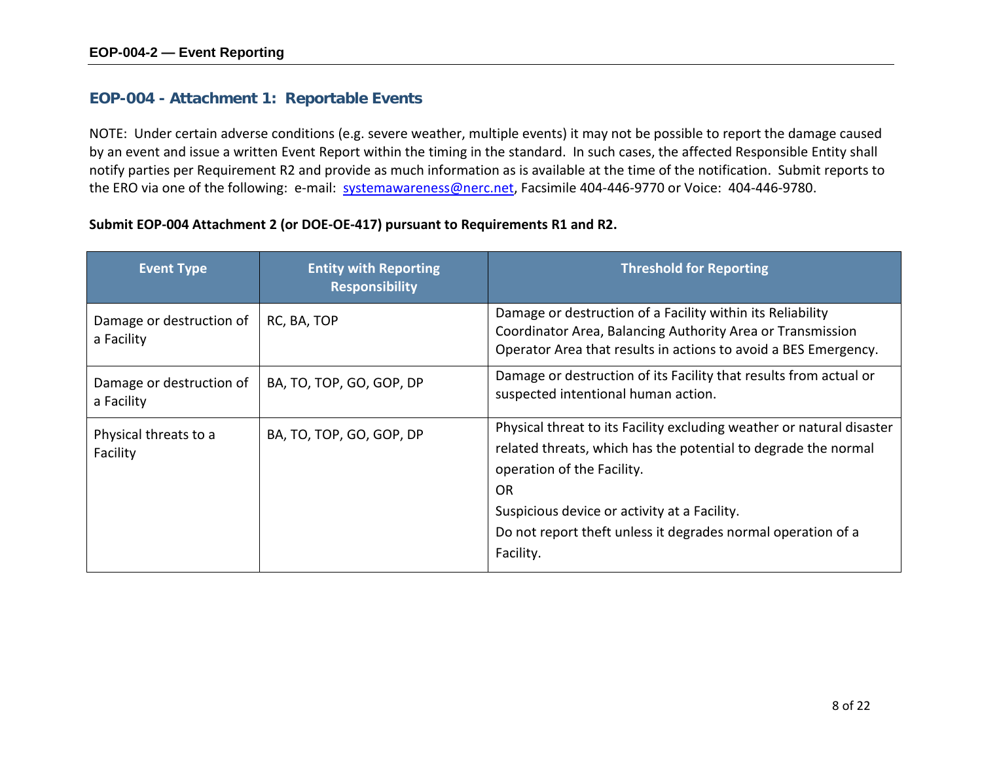## **EOP-004 - Attachment 1: Reportable Events**

NOTE: Under certain adverse conditions (e.g. severe weather, multiple events) it may not be possible to report the damage caused by an event and issue a written Event Report within the timing in the standard. In such cases, the affected Responsible Entity shall notify parties per Requirement R2 and provide as much information as is available at the time of the notification. Submit reports to the ERO via one of the following: e-mail: [systemawareness@nerc.net,](mailto:systemawareness@nerc.net) Facsimile 404-446-9770 or Voice: 404-446-9780.

## **Submit EOP-004 Attachment 2 (or DOE-OE-417) pursuant to Requirements R1 and R2.**

| <b>Event Type</b>                      | <b>Entity with Reporting</b><br><b>Responsibility</b> | <b>Threshold for Reporting</b>                                                                                                                                                                                                                                                                                  |
|----------------------------------------|-------------------------------------------------------|-----------------------------------------------------------------------------------------------------------------------------------------------------------------------------------------------------------------------------------------------------------------------------------------------------------------|
| Damage or destruction of<br>a Facility | RC, BA, TOP                                           | Damage or destruction of a Facility within its Reliability<br>Coordinator Area, Balancing Authority Area or Transmission<br>Operator Area that results in actions to avoid a BES Emergency.                                                                                                                     |
| Damage or destruction of<br>a Facility | BA, TO, TOP, GO, GOP, DP                              | Damage or destruction of its Facility that results from actual or<br>suspected intentional human action.                                                                                                                                                                                                        |
| Physical threats to a<br>Facility      | BA, TO, TOP, GO, GOP, DP                              | Physical threat to its Facility excluding weather or natural disaster<br>related threats, which has the potential to degrade the normal<br>operation of the Facility.<br><b>OR</b><br>Suspicious device or activity at a Facility.<br>Do not report theft unless it degrades normal operation of a<br>Facility. |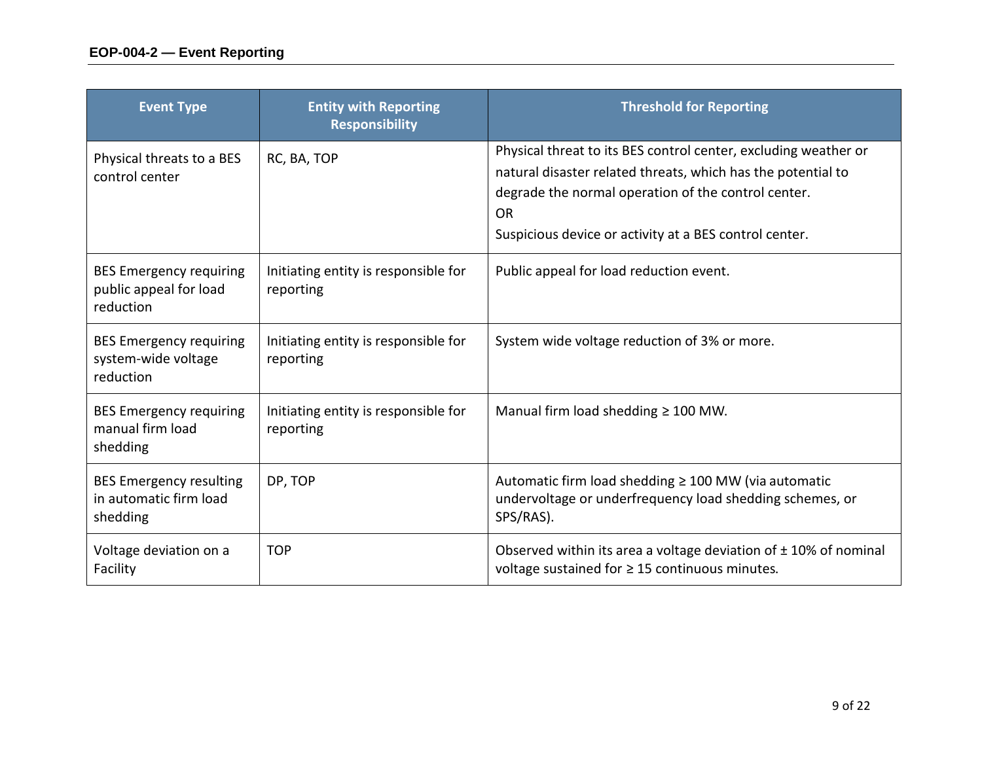| <b>Event Type</b>                                                     | <b>Entity with Reporting</b><br><b>Responsibility</b> | <b>Threshold for Reporting</b>                                                                                                                                                                                                                                |
|-----------------------------------------------------------------------|-------------------------------------------------------|---------------------------------------------------------------------------------------------------------------------------------------------------------------------------------------------------------------------------------------------------------------|
| Physical threats to a BES<br>control center                           | RC, BA, TOP                                           | Physical threat to its BES control center, excluding weather or<br>natural disaster related threats, which has the potential to<br>degrade the normal operation of the control center.<br><b>OR</b><br>Suspicious device or activity at a BES control center. |
| <b>BES Emergency requiring</b><br>public appeal for load<br>reduction | Initiating entity is responsible for<br>reporting     | Public appeal for load reduction event.                                                                                                                                                                                                                       |
| <b>BES Emergency requiring</b><br>system-wide voltage<br>reduction    | Initiating entity is responsible for<br>reporting     | System wide voltage reduction of 3% or more.                                                                                                                                                                                                                  |
| <b>BES Emergency requiring</b><br>manual firm load<br>shedding        | Initiating entity is responsible for<br>reporting     | Manual firm load shedding $\geq 100$ MW.                                                                                                                                                                                                                      |
| <b>BES Emergency resulting</b><br>in automatic firm load<br>shedding  | DP, TOP                                               | Automatic firm load shedding $\geq 100$ MW (via automatic<br>undervoltage or underfrequency load shedding schemes, or<br>SPS/RAS).                                                                                                                            |
| Voltage deviation on a<br>Facility                                    | <b>TOP</b>                                            | Observed within its area a voltage deviation of $± 10\%$ of nominal<br>voltage sustained for $\geq$ 15 continuous minutes.                                                                                                                                    |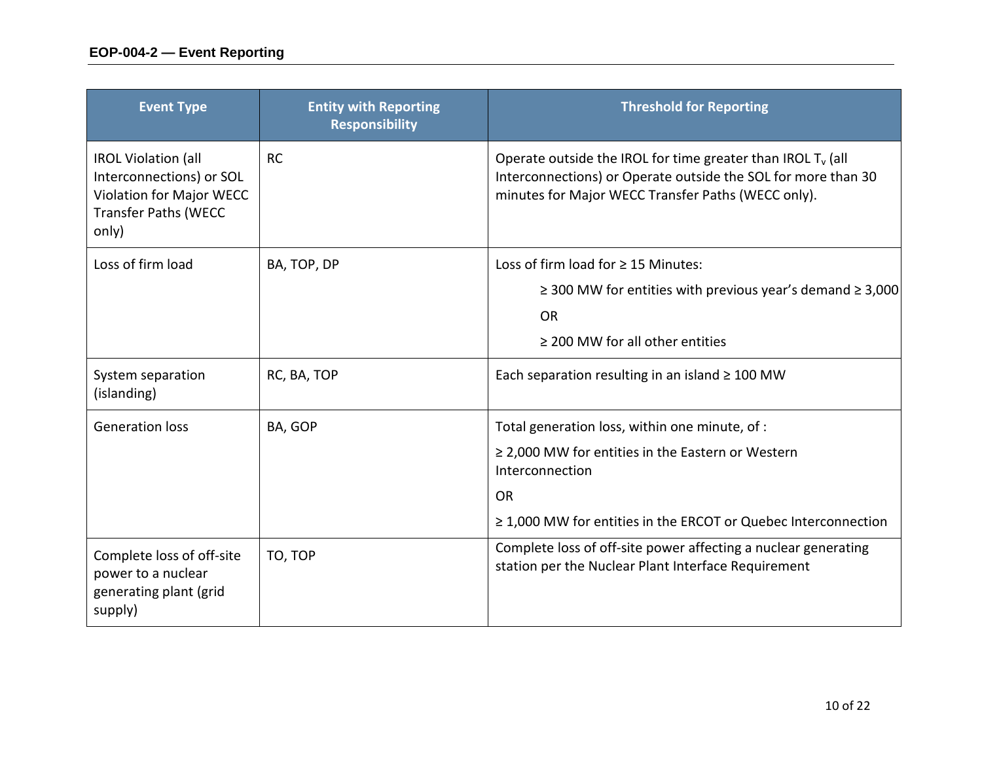| <b>Event Type</b>                                                                                                          | <b>Entity with Reporting</b><br><b>Responsibility</b> | <b>Threshold for Reporting</b>                                                                                                                                                        |
|----------------------------------------------------------------------------------------------------------------------------|-------------------------------------------------------|---------------------------------------------------------------------------------------------------------------------------------------------------------------------------------------|
| <b>IROL Violation (all</b><br>Interconnections) or SOL<br>Violation for Major WECC<br><b>Transfer Paths (WECC</b><br>only) | <b>RC</b>                                             | Operate outside the IROL for time greater than IROL $T_v$ (all<br>Interconnections) or Operate outside the SOL for more than 30<br>minutes for Major WECC Transfer Paths (WECC only). |
| Loss of firm load                                                                                                          | BA, TOP, DP                                           | Loss of firm load for $\geq$ 15 Minutes:                                                                                                                                              |
|                                                                                                                            |                                                       | $\geq$ 300 MW for entities with previous year's demand $\geq$ 3,000                                                                                                                   |
|                                                                                                                            |                                                       | <b>OR</b>                                                                                                                                                                             |
|                                                                                                                            |                                                       | $\geq$ 200 MW for all other entities                                                                                                                                                  |
| System separation<br>(islanding)                                                                                           | RC, BA, TOP                                           | Each separation resulting in an island $\geq 100$ MW                                                                                                                                  |
| <b>Generation loss</b>                                                                                                     | BA, GOP                                               | Total generation loss, within one minute, of :                                                                                                                                        |
|                                                                                                                            |                                                       | $\geq$ 2,000 MW for entities in the Eastern or Western<br>Interconnection                                                                                                             |
|                                                                                                                            |                                                       | <b>OR</b>                                                                                                                                                                             |
|                                                                                                                            |                                                       | $\geq$ 1,000 MW for entities in the ERCOT or Quebec Interconnection                                                                                                                   |
| Complete loss of off-site<br>power to a nuclear<br>generating plant (grid<br>supply)                                       | TO, TOP                                               | Complete loss of off-site power affecting a nuclear generating<br>station per the Nuclear Plant Interface Requirement                                                                 |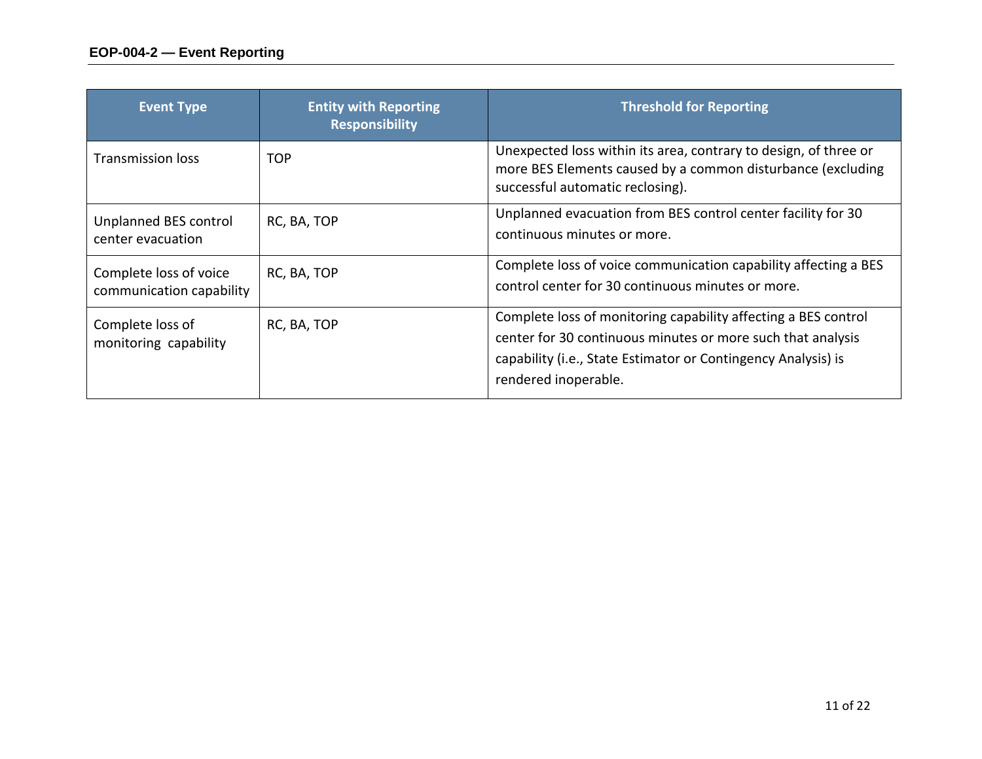| <b>Event Type</b>                                  | <b>Entity with Reporting</b><br><b>Responsibility</b> | <b>Threshold for Reporting</b>                                                                                                                                                                                         |
|----------------------------------------------------|-------------------------------------------------------|------------------------------------------------------------------------------------------------------------------------------------------------------------------------------------------------------------------------|
| <b>Transmission loss</b>                           | <b>TOP</b>                                            | Unexpected loss within its area, contrary to design, of three or<br>more BES Elements caused by a common disturbance (excluding<br>successful automatic reclosing).                                                    |
| Unplanned BES control<br>center evacuation         | RC, BA, TOP                                           | Unplanned evacuation from BES control center facility for 30<br>continuous minutes or more.                                                                                                                            |
| Complete loss of voice<br>communication capability | RC, BA, TOP                                           | Complete loss of voice communication capability affecting a BES<br>control center for 30 continuous minutes or more.                                                                                                   |
| Complete loss of<br>monitoring capability          | RC, BA, TOP                                           | Complete loss of monitoring capability affecting a BES control<br>center for 30 continuous minutes or more such that analysis<br>capability (i.e., State Estimator or Contingency Analysis) is<br>rendered inoperable. |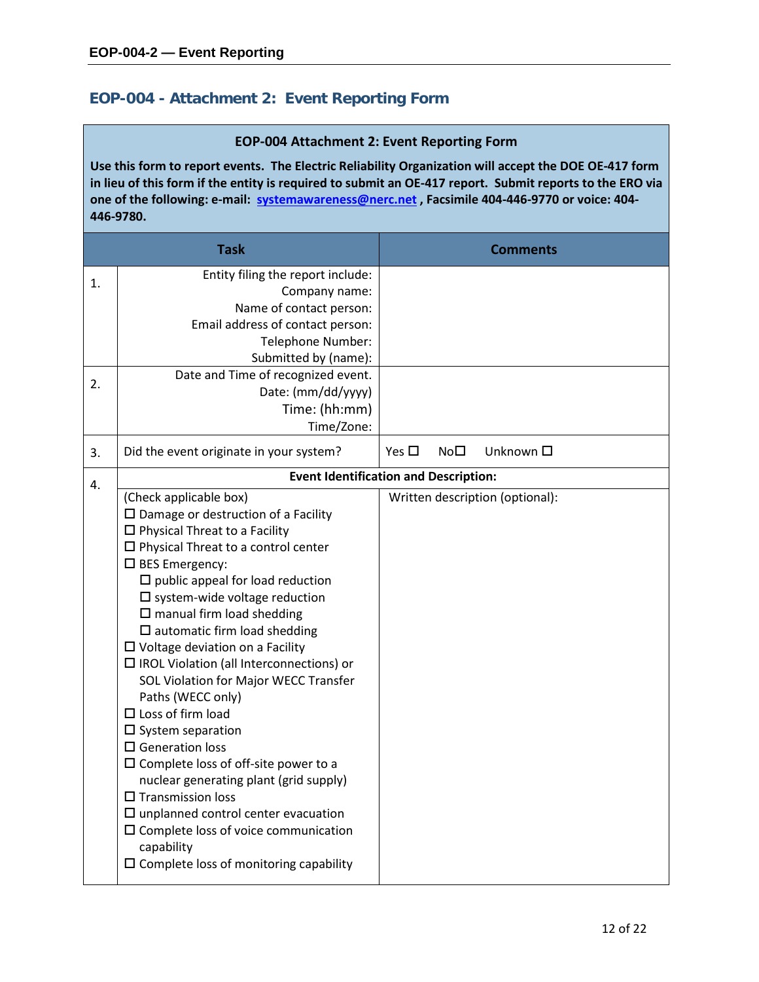## **EOP-004 - Attachment 2: Event Reporting Form**

#### **EOP-004 Attachment 2: Event Reporting Form**

**Use this form to report events. The Electric Reliability Organization will accept the DOE OE-417 form in lieu of this form if the entity is required to submit an OE-417 report. Submit reports to the ERO via one of the following: e-mail: [systemawareness@nerc.net](mailto:systemawareness@nerc.net) , Facsimile 404-446-9770 or voice: 404- 446-9780.**

|    | <b>Task</b>                                                                                                                                                                                                                                                                                                                                                                                                                                                                                                                                                                                                                                                                                                                                                                                                                                                                                                            |               |             | <b>Comments</b>                 |
|----|------------------------------------------------------------------------------------------------------------------------------------------------------------------------------------------------------------------------------------------------------------------------------------------------------------------------------------------------------------------------------------------------------------------------------------------------------------------------------------------------------------------------------------------------------------------------------------------------------------------------------------------------------------------------------------------------------------------------------------------------------------------------------------------------------------------------------------------------------------------------------------------------------------------------|---------------|-------------|---------------------------------|
| 1. | Entity filing the report include:<br>Company name:<br>Name of contact person:<br>Email address of contact person:<br>Telephone Number:<br>Submitted by (name):<br>Date and Time of recognized event.                                                                                                                                                                                                                                                                                                                                                                                                                                                                                                                                                                                                                                                                                                                   |               |             |                                 |
| 2. | Date: (mm/dd/yyyy)<br>Time: (hh:mm)<br>Time/Zone:                                                                                                                                                                                                                                                                                                                                                                                                                                                                                                                                                                                                                                                                                                                                                                                                                                                                      |               |             |                                 |
| 3. | Did the event originate in your system?                                                                                                                                                                                                                                                                                                                                                                                                                                                                                                                                                                                                                                                                                                                                                                                                                                                                                | Yes $\square$ | $No\square$ | Unknown □                       |
| 4. | <b>Event Identification and Description:</b>                                                                                                                                                                                                                                                                                                                                                                                                                                                                                                                                                                                                                                                                                                                                                                                                                                                                           |               |             |                                 |
|    | (Check applicable box)<br>$\square$ Damage or destruction of a Facility<br>$\Box$ Physical Threat to a Facility<br>$\square$ Physical Threat to a control center<br>$\square$ BES Emergency:<br>$\square$ public appeal for load reduction<br>$\square$ system-wide voltage reduction<br>$\square$ manual firm load shedding<br>$\square$ automatic firm load shedding<br>$\Box$ Voltage deviation on a Facility<br>$\Box$ IROL Violation (all Interconnections) or<br>SOL Violation for Major WECC Transfer<br>Paths (WECC only)<br>$\Box$ Loss of firm load<br>$\square$ System separation<br>$\square$ Generation loss<br>$\square$ Complete loss of off-site power to a<br>nuclear generating plant (grid supply)<br>$\square$ Transmission loss<br>$\square$ unplanned control center evacuation<br>$\square$ Complete loss of voice communication<br>capability<br>$\Box$ Complete loss of monitoring capability |               |             | Written description (optional): |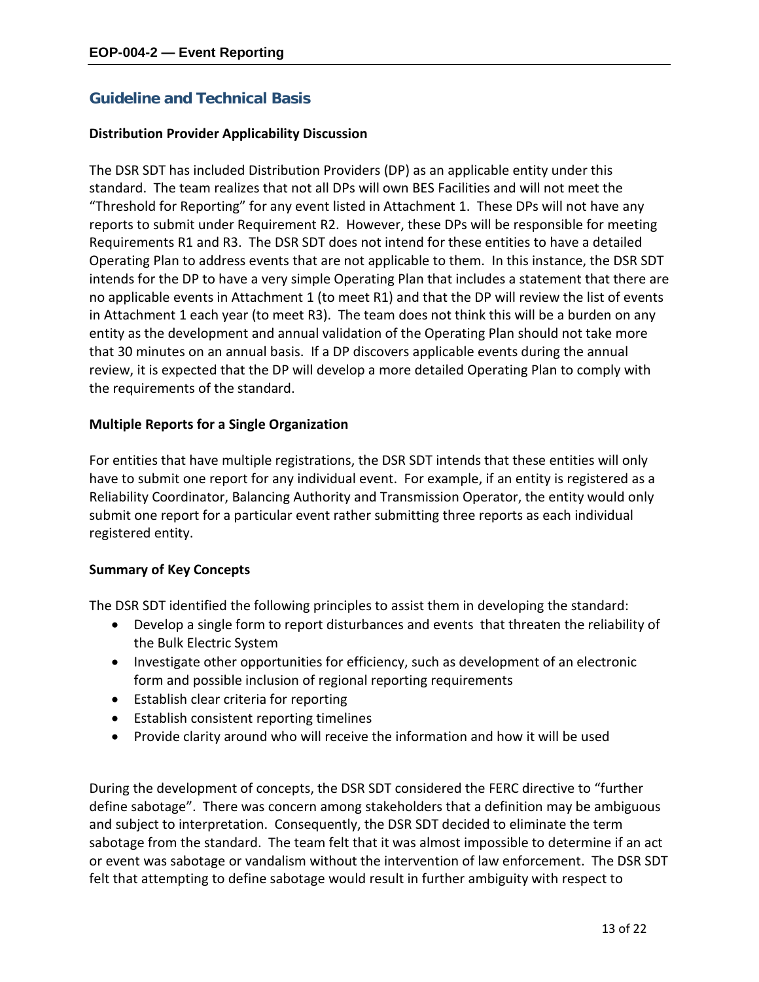## **Guideline and Technical Basis**

### **Distribution Provider Applicability Discussion**

The DSR SDT has included Distribution Providers (DP) as an applicable entity under this standard. The team realizes that not all DPs will own BES Facilities and will not meet the "Threshold for Reporting" for any event listed in Attachment 1. These DPs will not have any reports to submit under Requirement R2. However, these DPs will be responsible for meeting Requirements R1 and R3. The DSR SDT does not intend for these entities to have a detailed Operating Plan to address events that are not applicable to them. In this instance, the DSR SDT intends for the DP to have a very simple Operating Plan that includes a statement that there are no applicable events in Attachment 1 (to meet R1) and that the DP will review the list of events in Attachment 1 each year (to meet R3). The team does not think this will be a burden on any entity as the development and annual validation of the Operating Plan should not take more that 30 minutes on an annual basis. If a DP discovers applicable events during the annual review, it is expected that the DP will develop a more detailed Operating Plan to comply with the requirements of the standard.

### **Multiple Reports for a Single Organization**

For entities that have multiple registrations, the DSR SDT intends that these entities will only have to submit one report for any individual event. For example, if an entity is registered as a Reliability Coordinator, Balancing Authority and Transmission Operator, the entity would only submit one report for a particular event rather submitting three reports as each individual registered entity.

## **Summary of Key Concepts**

The DSR SDT identified the following principles to assist them in developing the standard:

- Develop a single form to report disturbances and events that threaten the reliability of the Bulk Electric System
- Investigate other opportunities for efficiency, such as development of an electronic form and possible inclusion of regional reporting requirements
- Establish clear criteria for reporting
- Establish consistent reporting timelines
- Provide clarity around who will receive the information and how it will be used

During the development of concepts, the DSR SDT considered the FERC directive to "further define sabotage". There was concern among stakeholders that a definition may be ambiguous and subject to interpretation. Consequently, the DSR SDT decided to eliminate the term sabotage from the standard. The team felt that it was almost impossible to determine if an act or event was sabotage or vandalism without the intervention of law enforcement. The DSR SDT felt that attempting to define sabotage would result in further ambiguity with respect to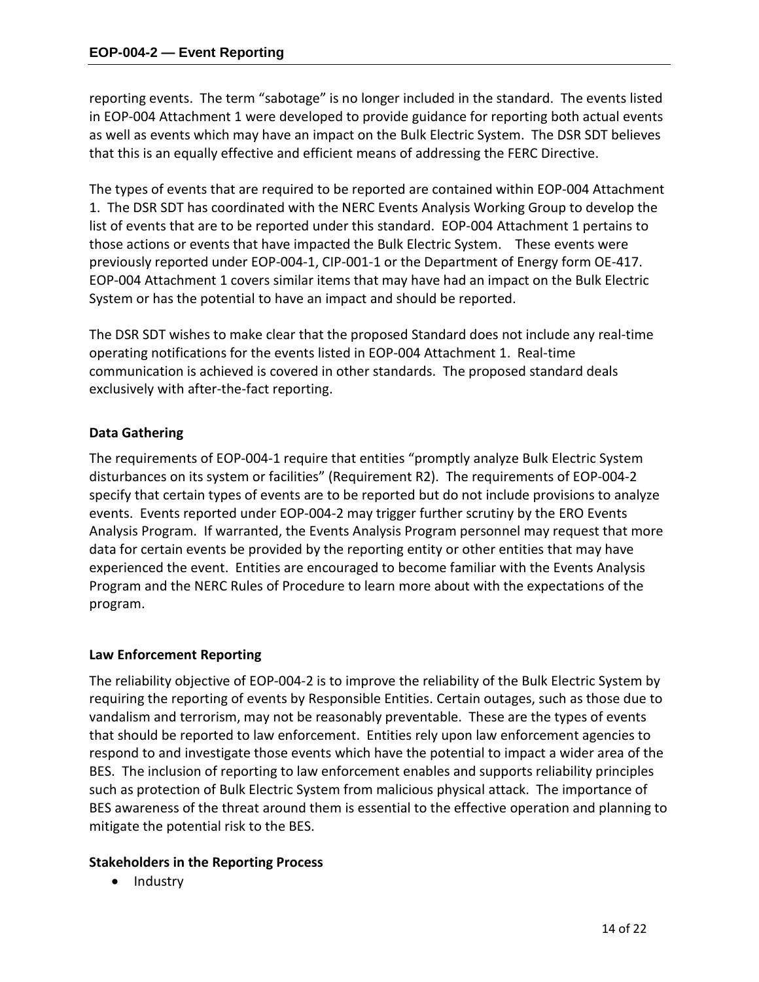reporting events. The term "sabotage" is no longer included in the standard. The events listed in EOP-004 Attachment 1 were developed to provide guidance for reporting both actual events as well as events which may have an impact on the Bulk Electric System. The DSR SDT believes that this is an equally effective and efficient means of addressing the FERC Directive.

The types of events that are required to be reported are contained within EOP-004 Attachment 1. The DSR SDT has coordinated with the NERC Events Analysis Working Group to develop the list of events that are to be reported under this standard. EOP-004 Attachment 1 pertains to those actions or events that have impacted the Bulk Electric System. These events were previously reported under EOP-004-1, CIP-001-1 or the Department of Energy form OE-417. EOP-004 Attachment 1 covers similar items that may have had an impact on the Bulk Electric System or has the potential to have an impact and should be reported.

The DSR SDT wishes to make clear that the proposed Standard does not include any real-time operating notifications for the events listed in EOP-004 Attachment 1. Real-time communication is achieved is covered in other standards. The proposed standard deals exclusively with after-the-fact reporting.

## **Data Gathering**

The requirements of EOP-004-1 require that entities "promptly analyze Bulk Electric System disturbances on its system or facilities" (Requirement R2). The requirements of EOP-004-2 specify that certain types of events are to be reported but do not include provisions to analyze events. Events reported under EOP-004-2 may trigger further scrutiny by the ERO Events Analysis Program. If warranted, the Events Analysis Program personnel may request that more data for certain events be provided by the reporting entity or other entities that may have experienced the event. Entities are encouraged to become familiar with the Events Analysis Program and the NERC Rules of Procedure to learn more about with the expectations of the program.

## **Law Enforcement Reporting**

The reliability objective of EOP-004-2 is to improve the reliability of the Bulk Electric System by requiring the reporting of events by Responsible Entities. Certain outages, such as those due to vandalism and terrorism, may not be reasonably preventable. These are the types of events that should be reported to law enforcement. Entities rely upon law enforcement agencies to respond to and investigate those events which have the potential to impact a wider area of the BES. The inclusion of reporting to law enforcement enables and supports reliability principles such as protection of Bulk Electric System from malicious physical attack. The importance of BES awareness of the threat around them is essential to the effective operation and planning to mitigate the potential risk to the BES.

## **Stakeholders in the Reporting Process**

• Industry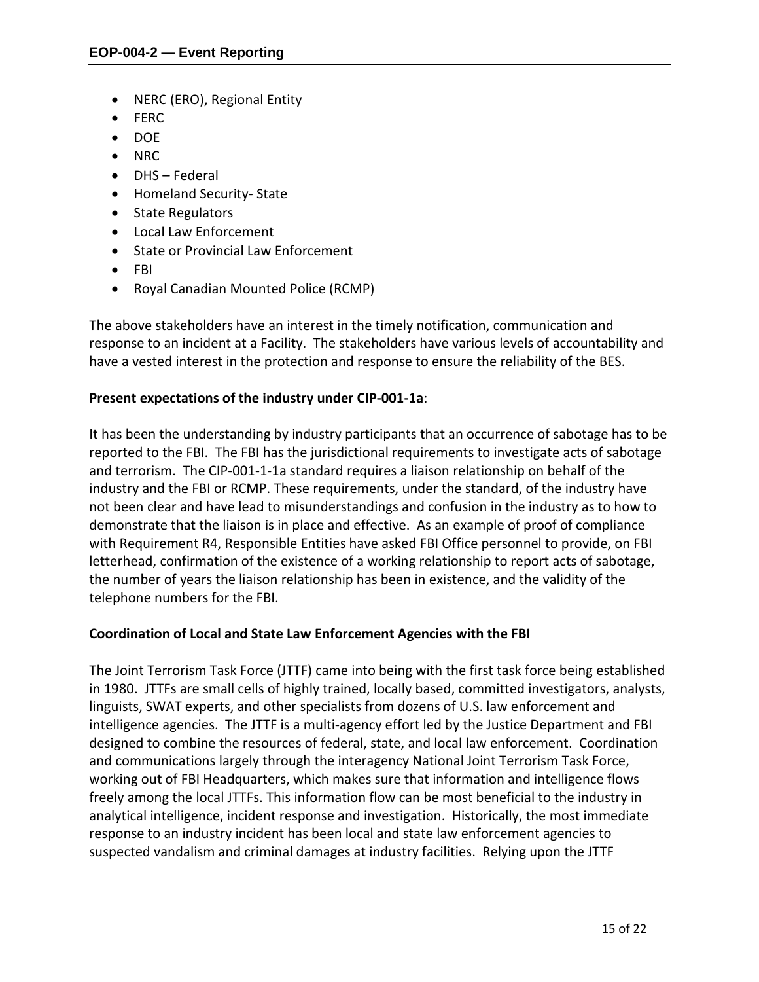- NERC (ERO), Regional Entity
- FERC
- DOE
- NRC
- DHS Federal
- Homeland Security- State
- State Regulators
- Local Law Enforcement
- State or Provincial Law Enforcement
- FBI
- Royal Canadian Mounted Police (RCMP)

The above stakeholders have an interest in the timely notification, communication and response to an incident at a Facility. The stakeholders have various levels of accountability and have a vested interest in the protection and response to ensure the reliability of the BES.

## **Present expectations of the industry under CIP-001-1a**:

It has been the understanding by industry participants that an occurrence of sabotage has to be reported to the FBI. The FBI has the jurisdictional requirements to investigate acts of sabotage and terrorism. The CIP-001-1-1a standard requires a liaison relationship on behalf of the industry and the FBI or RCMP. These requirements, under the standard, of the industry have not been clear and have lead to misunderstandings and confusion in the industry as to how to demonstrate that the liaison is in place and effective. As an example of proof of compliance with Requirement R4, Responsible Entities have asked FBI Office personnel to provide, on FBI letterhead, confirmation of the existence of a working relationship to report acts of sabotage, the number of years the liaison relationship has been in existence, and the validity of the telephone numbers for the FBI.

## **Coordination of Local and State Law Enforcement Agencies with the FBI**

The Joint Terrorism Task Force (JTTF) came into being with the first task force being established in 1980. JTTFs are small cells of highly trained, locally based, committed investigators, analysts, linguists, SWAT experts, and other specialists from dozens of U.S. law enforcement and intelligence agencies. The JTTF is a multi-agency effort led by the Justice Department and FBI designed to combine the resources of federal, state, and local law enforcement. Coordination and communications largely through the interagency National Joint Terrorism Task Force, working out of FBI Headquarters, which makes sure that information and intelligence flows freely among the local JTTFs. This information flow can be most beneficial to the industry in analytical intelligence, incident response and investigation. Historically, the most immediate response to an industry incident has been local and state law enforcement agencies to suspected vandalism and criminal damages at industry facilities. Relying upon the JTTF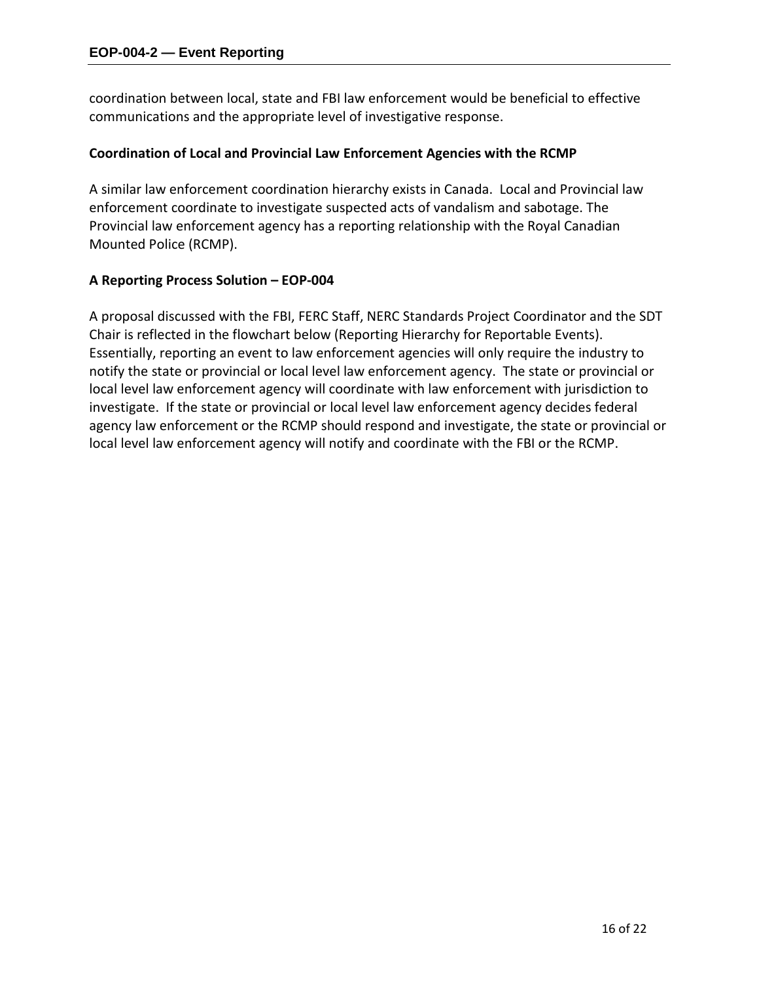coordination between local, state and FBI law enforcement would be beneficial to effective communications and the appropriate level of investigative response.

## **Coordination of Local and Provincial Law Enforcement Agencies with the RCMP**

A similar law enforcement coordination hierarchy exists in Canada. Local and Provincial law enforcement coordinate to investigate suspected acts of vandalism and sabotage. The Provincial law enforcement agency has a reporting relationship with the Royal Canadian Mounted Police (RCMP).

### **A Reporting Process Solution – EOP-004**

A proposal discussed with the FBI, FERC Staff, NERC Standards Project Coordinator and the SDT Chair is reflected in the flowchart below (Reporting Hierarchy for Reportable Events). Essentially, reporting an event to law enforcement agencies will only require the industry to notify the state or provincial or local level law enforcement agency. The state or provincial or local level law enforcement agency will coordinate with law enforcement with jurisdiction to investigate. If the state or provincial or local level law enforcement agency decides federal agency law enforcement or the RCMP should respond and investigate, the state or provincial or local level law enforcement agency will notify and coordinate with the FBI or the RCMP.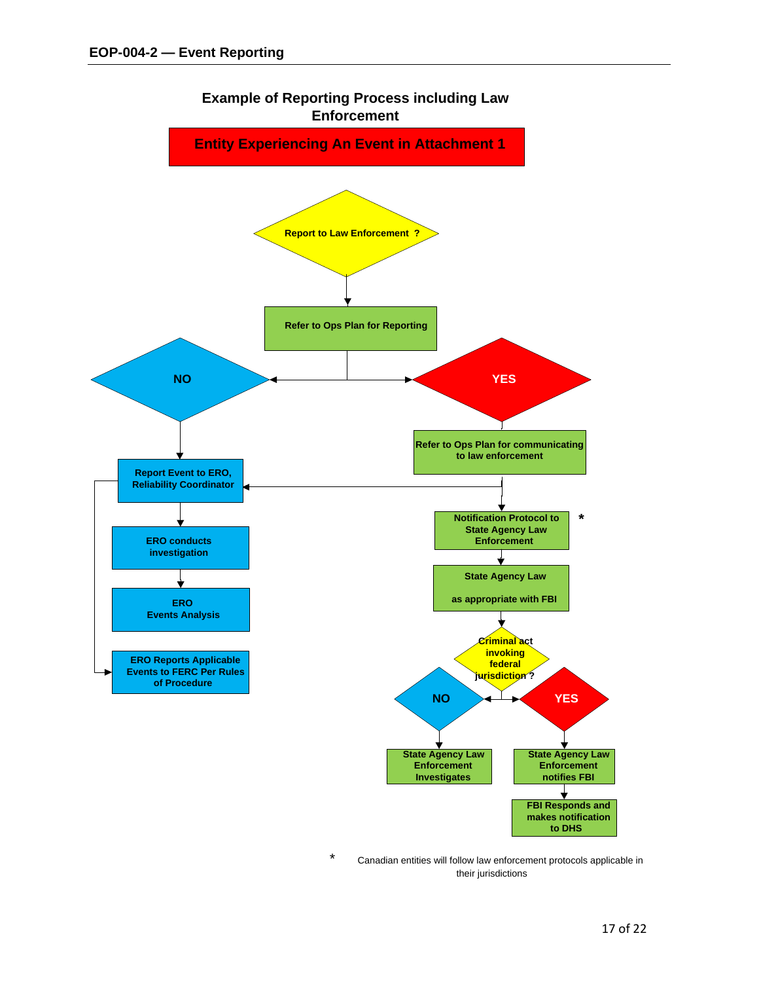

Canadian entities will follow law enforcement protocols applicable in their jurisdictions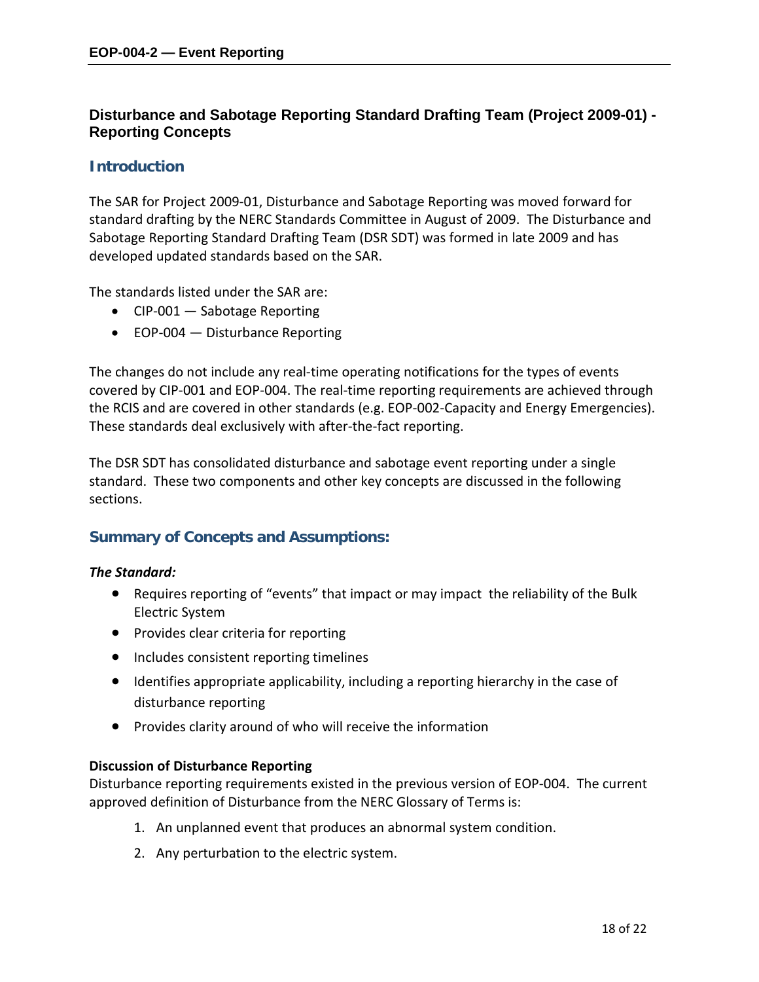## **Disturbance and Sabotage Reporting Standard Drafting Team (Project 2009-01) - Reporting Concepts**

## **Introduction**

The SAR for Project 2009-01, Disturbance and Sabotage Reporting was moved forward for standard drafting by the NERC Standards Committee in August of 2009. The Disturbance and Sabotage Reporting Standard Drafting Team (DSR SDT) was formed in late 2009 and has developed updated standards based on the SAR.

The standards listed under the SAR are:

- CIP-001 Sabotage Reporting
- EOP-004 Disturbance Reporting

The changes do not include any real-time operating notifications for the types of events covered by CIP-001 and EOP-004. The real-time reporting requirements are achieved through the RCIS and are covered in other standards (e.g. EOP-002-Capacity and Energy Emergencies). These standards deal exclusively with after-the-fact reporting.

The DSR SDT has consolidated disturbance and sabotage event reporting under a single standard. These two components and other key concepts are discussed in the following sections.

## **Summary of Concepts and Assumptions:**

## *The Standard:*

- Requires reporting of "events" that impact or may impact the reliability of the Bulk Electric System
- Provides clear criteria for reporting
- Includes consistent reporting timelines
- Identifies appropriate applicability, including a reporting hierarchy in the case of disturbance reporting
- Provides clarity around of who will receive the information

## **Discussion of Disturbance Reporting**

Disturbance reporting requirements existed in the previous version of EOP-004. The current approved definition of Disturbance from the NERC Glossary of Terms is:

- 1. An unplanned event that produces an abnormal system condition.
- 2. Any perturbation to the electric system.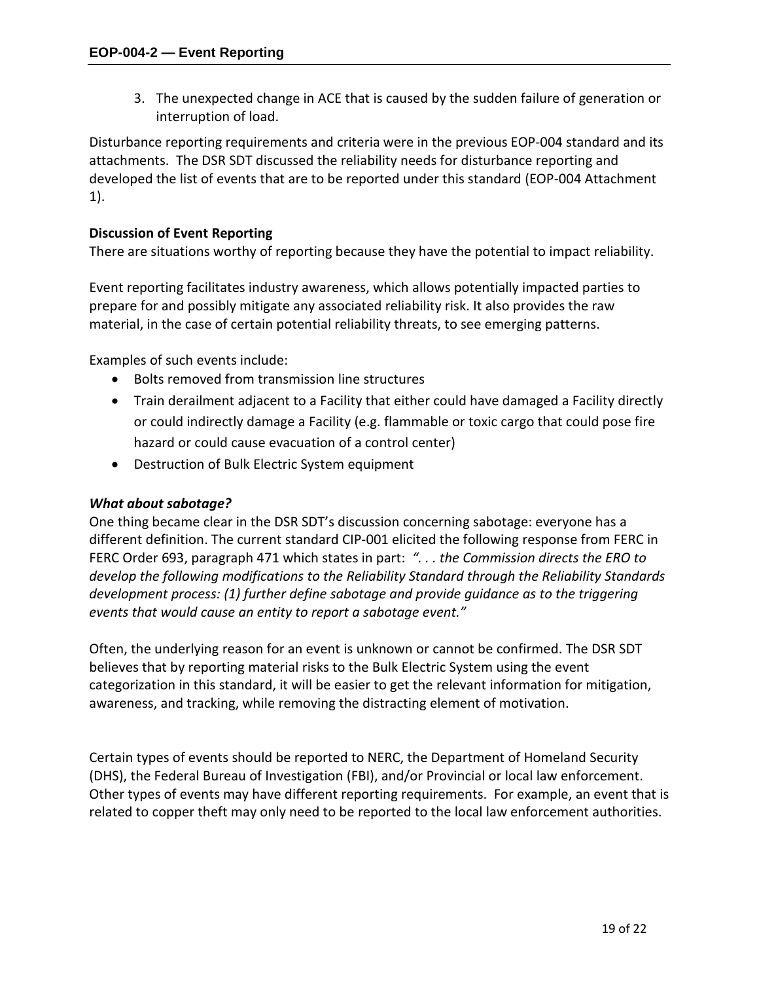3. The unexpected change in ACE that is caused by the sudden failure of generation or interruption of load.

Disturbance reporting requirements and criteria were in the previous EOP-004 standard and its attachments. The DSR SDT discussed the reliability needs for disturbance reporting and developed the list of events that are to be reported under this standard (EOP-004 Attachment 1).

## **Discussion of Event Reporting**

There are situations worthy of reporting because they have the potential to impact reliability.

Event reporting facilitates industry awareness, which allows potentially impacted parties to prepare for and possibly mitigate any associated reliability risk. It also provides the raw material, in the case of certain potential reliability threats, to see emerging patterns.

Examples of such events include:

- Bolts removed from transmission line structures
- Train derailment adjacent to a Facility that either could have damaged a Facility directly or could indirectly damage a Facility (e.g. flammable or toxic cargo that could pose fire hazard or could cause evacuation of a control center)
- Destruction of Bulk Electric System equipment

## *What about sabotage?*

One thing became clear in the DSR SDT's discussion concerning sabotage: everyone has a different definition. The current standard CIP-001 elicited the following response from FERC in FERC Order 693, paragraph 471 which states in part: *". . . the Commission directs the ERO to develop the following modifications to the Reliability Standard through the Reliability Standards development process: (1) further define sabotage and provide guidance as to the triggering events that would cause an entity to report a sabotage event."*

Often, the underlying reason for an event is unknown or cannot be confirmed. The DSR SDT believes that by reporting material risks to the Bulk Electric System using the event categorization in this standard, it will be easier to get the relevant information for mitigation, awareness, and tracking, while removing the distracting element of motivation.

Certain types of events should be reported to NERC, the Department of Homeland Security (DHS), the Federal Bureau of Investigation (FBI), and/or Provincial or local law enforcement. Other types of events may have different reporting requirements. For example, an event that is related to copper theft may only need to be reported to the local law enforcement authorities.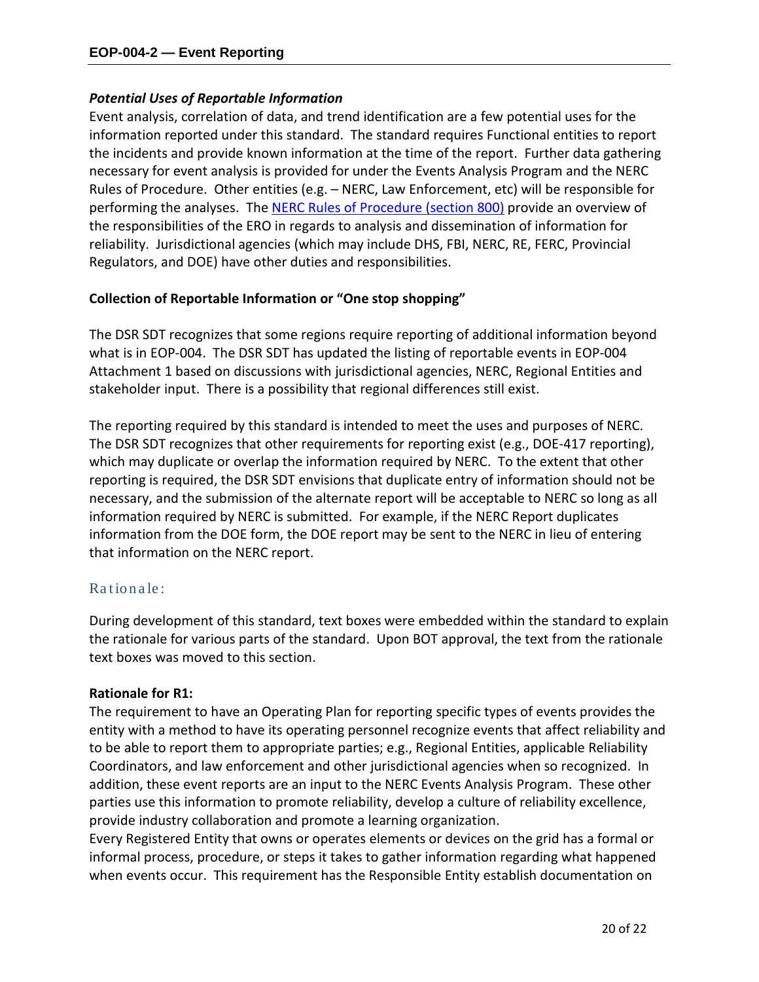## *Potential Uses of Reportable Information*

Event analysis, correlation of data, and trend identification are a few potential uses for the information reported under this standard. The standard requires Functional entities to report the incidents and provide known information at the time of the report. Further data gathering necessary for event analysis is provided for under the Events Analysis Program and the NERC Rules of Procedure. Other entities (e.g. – NERC, Law Enforcement, etc) will be responsible for performing the analyses. The [NERC Rules of Procedure \(section 800\)](http://www.nerc.com/files/NERC_Rules_of_Procedure_EFFECTIVE_20100205.pdf) provide an overview of the responsibilities of the ERO in regards to analysis and dissemination of information for reliability. Jurisdictional agencies (which may include DHS, FBI, NERC, RE, FERC, Provincial Regulators, and DOE) have other duties and responsibilities.

## **Collection of Reportable Information or "One stop shopping"**

The DSR SDT recognizes that some regions require reporting of additional information beyond what is in EOP-004. The DSR SDT has updated the listing of reportable events in EOP-004 Attachment 1 based on discussions with jurisdictional agencies, NERC, Regional Entities and stakeholder input. There is a possibility that regional differences still exist.

The reporting required by this standard is intended to meet the uses and purposes of NERC. The DSR SDT recognizes that other requirements for reporting exist (e.g., DOE-417 reporting), which may duplicate or overlap the information required by NERC. To the extent that other reporting is required, the DSR SDT envisions that duplicate entry of information should not be necessary, and the submission of the alternate report will be acceptable to NERC so long as all information required by NERC is submitted. For example, if the NERC Report duplicates information from the DOE form, the DOE report may be sent to the NERC in lieu of entering that information on the NERC report.

## Ra tiona le:

During development of this standard, text boxes were embedded within the standard to explain the rationale for various parts of the standard. Upon BOT approval, the text from the rationale text boxes was moved to this section.

## **Rationale for R1:**

The requirement to have an Operating Plan for reporting specific types of events provides the entity with a method to have its operating personnel recognize events that affect reliability and to be able to report them to appropriate parties; e.g., Regional Entities, applicable Reliability Coordinators, and law enforcement and other jurisdictional agencies when so recognized. In addition, these event reports are an input to the NERC Events Analysis Program. These other parties use this information to promote reliability, develop a culture of reliability excellence, provide industry collaboration and promote a learning organization.

Every Registered Entity that owns or operates elements or devices on the grid has a formal or informal process, procedure, or steps it takes to gather information regarding what happened when events occur. This requirement has the Responsible Entity establish documentation on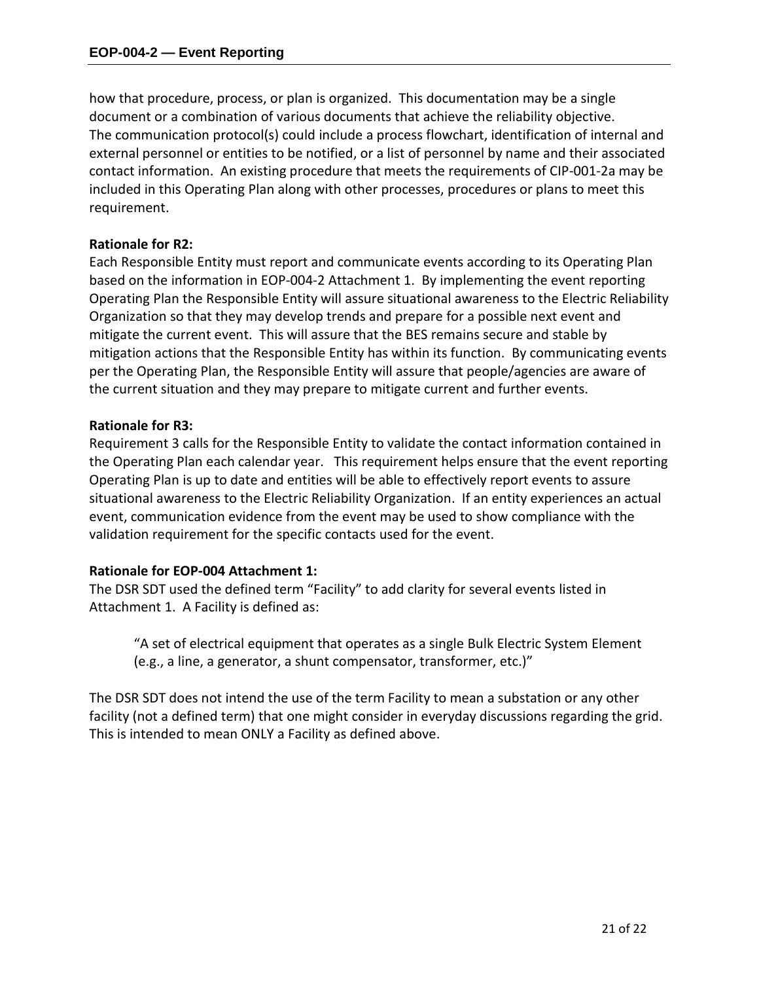how that procedure, process, or plan is organized. This documentation may be a single document or a combination of various documents that achieve the reliability objective. The communication protocol(s) could include a process flowchart, identification of internal and external personnel or entities to be notified, or a list of personnel by name and their associated contact information. An existing procedure that meets the requirements of CIP-001-2a may be included in this Operating Plan along with other processes, procedures or plans to meet this requirement.

## **Rationale for R2:**

Each Responsible Entity must report and communicate events according to its Operating Plan based on the information in EOP-004-2 Attachment 1. By implementing the event reporting Operating Plan the Responsible Entity will assure situational awareness to the Electric Reliability Organization so that they may develop trends and prepare for a possible next event and mitigate the current event. This will assure that the BES remains secure and stable by mitigation actions that the Responsible Entity has within its function. By communicating events per the Operating Plan, the Responsible Entity will assure that people/agencies are aware of the current situation and they may prepare to mitigate current and further events.

### **Rationale for R3:**

Requirement 3 calls for the Responsible Entity to validate the contact information contained in the Operating Plan each calendar year. This requirement helps ensure that the event reporting Operating Plan is up to date and entities will be able to effectively report events to assure situational awareness to the Electric Reliability Organization. If an entity experiences an actual event, communication evidence from the event may be used to show compliance with the validation requirement for the specific contacts used for the event.

## **Rationale for EOP-004 Attachment 1:**

The DSR SDT used the defined term "Facility" to add clarity for several events listed in Attachment 1. A Facility is defined as:

"A set of electrical equipment that operates as a single Bulk Electric System Element (e.g., a line, a generator, a shunt compensator, transformer, etc.)"

The DSR SDT does not intend the use of the term Facility to mean a substation or any other facility (not a defined term) that one might consider in everyday discussions regarding the grid. This is intended to mean ONLY a Facility as defined above.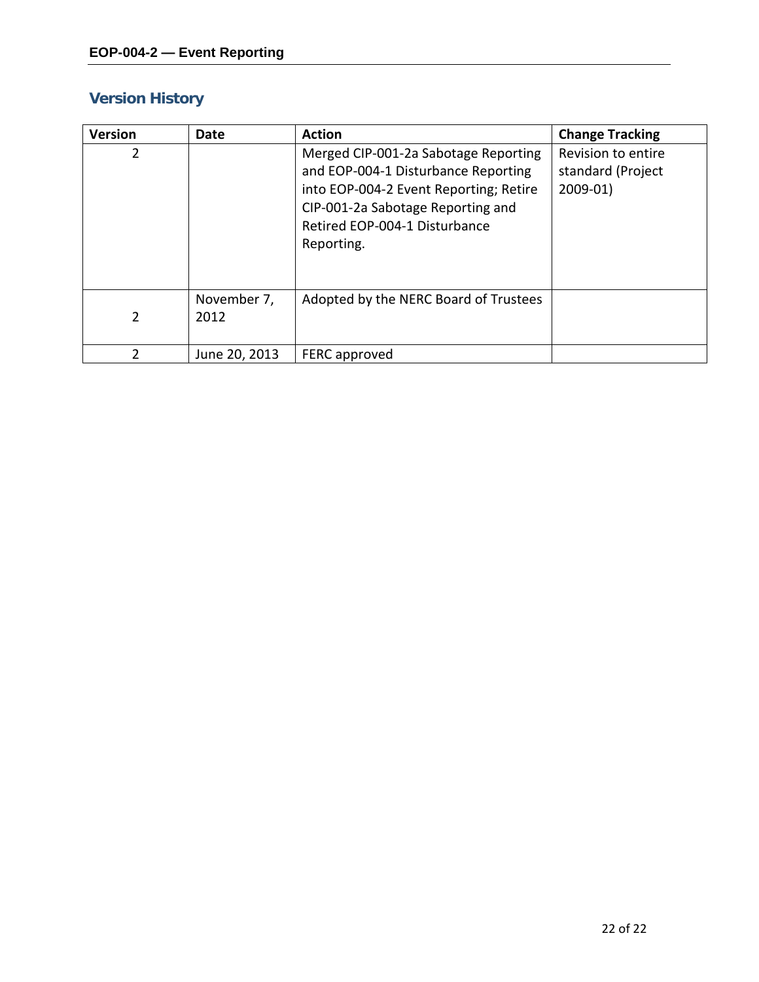# **Version History**

| <b>Version</b> | Date                | <b>Action</b>                                                                                                                                                                                             | <b>Change Tracking</b>                               |
|----------------|---------------------|-----------------------------------------------------------------------------------------------------------------------------------------------------------------------------------------------------------|------------------------------------------------------|
| 2              |                     | Merged CIP-001-2a Sabotage Reporting<br>and EOP-004-1 Disturbance Reporting<br>into EOP-004-2 Event Reporting; Retire<br>CIP-001-2a Sabotage Reporting and<br>Retired EOP-004-1 Disturbance<br>Reporting. | Revision to entire<br>standard (Project<br>$2009-01$ |
| 2              | November 7,<br>2012 | Adopted by the NERC Board of Trustees                                                                                                                                                                     |                                                      |
| 2              | June 20, 2013       | FERC approved                                                                                                                                                                                             |                                                      |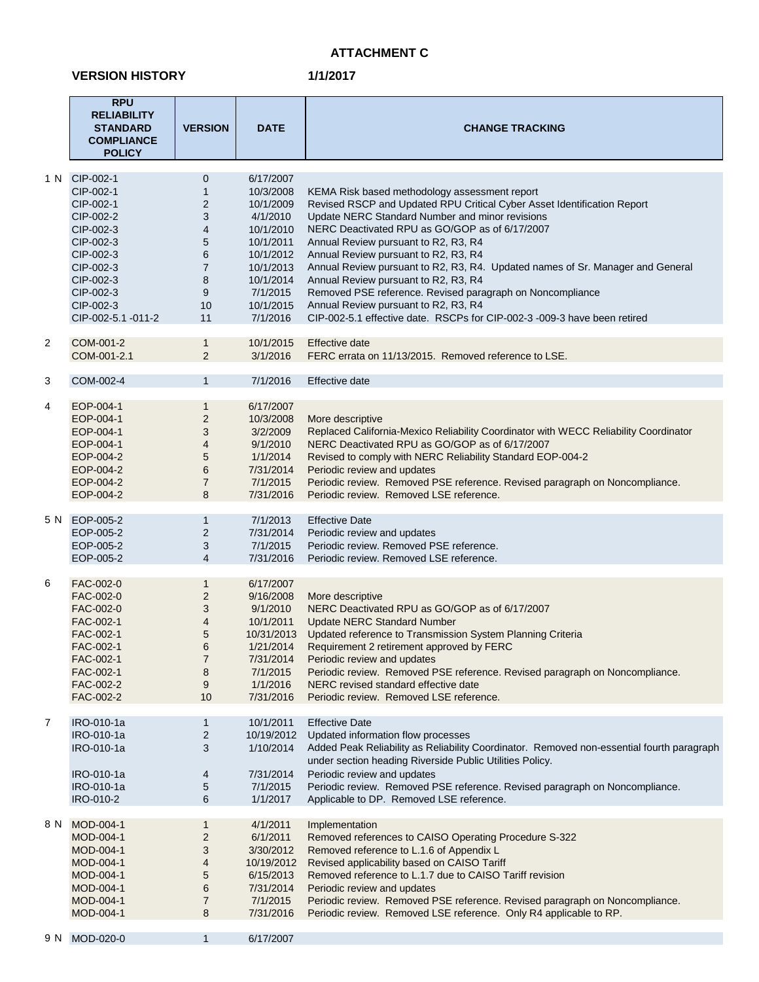## **ATTACHMENT C**

#### **VERSION HISTORY**

|                | <b>RPU</b><br><b>RELIABILITY</b><br><b>STANDARD</b><br><b>COMPLIANCE</b><br><b>POLICY</b>                                                                         | <b>VERSION</b>                                                                                                                                | <b>DATE</b>                                                                                                                                           | <b>CHANGE TRACKING</b>                                                                                                                                                                                                                                                                                                                                                                                                                                                                                                                                                                                                   |
|----------------|-------------------------------------------------------------------------------------------------------------------------------------------------------------------|-----------------------------------------------------------------------------------------------------------------------------------------------|-------------------------------------------------------------------------------------------------------------------------------------------------------|--------------------------------------------------------------------------------------------------------------------------------------------------------------------------------------------------------------------------------------------------------------------------------------------------------------------------------------------------------------------------------------------------------------------------------------------------------------------------------------------------------------------------------------------------------------------------------------------------------------------------|
| 1 N            | CIP-002-1<br>CIP-002-1<br>CIP-002-1<br>CIP-002-2<br>CIP-002-3<br>CIP-002-3<br>CIP-002-3<br>CIP-002-3<br>CIP-002-3<br>CIP-002-3<br>CIP-002-3<br>CIP-002-5.1 -011-2 | 0<br>$\mathbf{1}$<br>$\overline{\mathbf{c}}$<br>3<br>$\overline{\mathbf{4}}$<br>5<br>6<br>$\overline{7}$<br>8<br>$\boldsymbol{9}$<br>10<br>11 | 6/17/2007<br>10/3/2008<br>10/1/2009<br>4/1/2010<br>10/1/2010<br>10/1/2011<br>10/1/2012<br>10/1/2013<br>10/1/2014<br>7/1/2015<br>10/1/2015<br>7/1/2016 | KEMA Risk based methodology assessment report<br>Revised RSCP and Updated RPU Critical Cyber Asset Identification Report<br>Update NERC Standard Number and minor revisions<br>NERC Deactivated RPU as GO/GOP as of 6/17/2007<br>Annual Review pursuant to R2, R3, R4<br>Annual Review pursuant to R2, R3, R4<br>Annual Review pursuant to R2, R3, R4. Updated names of Sr. Manager and General<br>Annual Review pursuant to R2, R3, R4<br>Removed PSE reference. Revised paragraph on Noncompliance<br>Annual Review pursuant to R2, R3, R4<br>CIP-002-5.1 effective date. RSCPs for CIP-002-3 -009-3 have been retired |
| 2              | COM-001-2<br>COM-001-2.1                                                                                                                                          | $\mathbf{1}$<br>$\overline{2}$                                                                                                                | 10/1/2015<br>3/1/2016                                                                                                                                 | Effective date<br>FERC errata on 11/13/2015. Removed reference to LSE.                                                                                                                                                                                                                                                                                                                                                                                                                                                                                                                                                   |
| 3              | COM-002-4                                                                                                                                                         | $\mathbf{1}$                                                                                                                                  | 7/1/2016                                                                                                                                              | Effective date                                                                                                                                                                                                                                                                                                                                                                                                                                                                                                                                                                                                           |
| 4              | EOP-004-1<br>EOP-004-1<br>EOP-004-1<br>EOP-004-1<br>EOP-004-2<br>EOP-004-2<br>EOP-004-2<br>EOP-004-2                                                              | 1<br>$\overline{2}$<br>3<br>$\overline{\mathcal{A}}$<br>5<br>6<br>$\overline{7}$<br>8                                                         | 6/17/2007<br>10/3/2008<br>3/2/2009<br>9/1/2010<br>1/1/2014<br>7/31/2014<br>7/1/2015<br>7/31/2016                                                      | More descriptive<br>Replaced California-Mexico Reliability Coordinator with WECC Reliability Coordinator<br>NERC Deactivated RPU as GO/GOP as of 6/17/2007<br>Revised to comply with NERC Reliability Standard EOP-004-2<br>Periodic review and updates<br>Periodic review. Removed PSE reference. Revised paragraph on Noncompliance.<br>Periodic review. Removed LSE reference.                                                                                                                                                                                                                                        |
|                | 5 N EOP-005-2<br>EOP-005-2<br>EOP-005-2<br>EOP-005-2                                                                                                              | 1<br>$\overline{2}$<br>3<br>4                                                                                                                 | 7/1/2013<br>7/31/2014<br>7/1/2015<br>7/31/2016                                                                                                        | <b>Effective Date</b><br>Periodic review and updates<br>Periodic review. Removed PSE reference.<br>Periodic review. Removed LSE reference.                                                                                                                                                                                                                                                                                                                                                                                                                                                                               |
| 6              | FAC-002-0<br>FAC-002-0<br>FAC-002-0<br>FAC-002-1<br>FAC-002-1<br>FAC-002-1<br>FAC-002-1<br>FAC-002-1<br>FAC-002-2<br>FAC-002-2                                    | $\mathbf{1}$<br>$\overline{c}$<br>3<br>$\overline{\mathbf{4}}$<br>5<br>6<br>7<br>8<br>9<br>10                                                 | 6/17/2007<br>9/16/2008<br>9/1/2010<br>10/1/2011<br>10/31/2013<br>1/21/2014<br>7/31/2014<br>7/1/2015<br>1/1/2016<br>7/31/2016                          | More descriptive<br>NERC Deactivated RPU as GO/GOP as of 6/17/2007<br><b>Update NERC Standard Number</b><br>Updated reference to Transmission System Planning Criteria<br>Requirement 2 retirement approved by FERC<br>Periodic review and updates<br>Periodic review. Removed PSE reference. Revised paragraph on Noncompliance.<br>NERC revised standard effective date<br>Periodic review. Removed LSE reference.                                                                                                                                                                                                     |
| $\overline{7}$ | IRO-010-1a<br>IRO-010-1a<br>IRO-010-1a<br>IRO-010-1a<br>IRO-010-1a<br>IRO-010-2                                                                                   | 1<br>2<br>3<br>4<br>5<br>6                                                                                                                    | 10/1/2011<br>10/19/2012<br>1/10/2014<br>7/31/2014<br>7/1/2015<br>1/1/2017                                                                             | <b>Effective Date</b><br>Updated information flow processes<br>Added Peak Reliability as Reliability Coordinator. Removed non-essential fourth paragraph<br>under section heading Riverside Public Utilities Policy.<br>Periodic review and updates<br>Periodic review. Removed PSE reference. Revised paragraph on Noncompliance.<br>Applicable to DP. Removed LSE reference.                                                                                                                                                                                                                                           |
| 8 N            | MOD-004-1<br>MOD-004-1<br>MOD-004-1<br>MOD-004-1<br>MOD-004-1<br>MOD-004-1<br>MOD-004-1<br>MOD-004-1                                                              | 1<br>$\overline{c}$<br>3<br>4<br>5<br>6<br>7<br>8                                                                                             | 4/1/2011<br>6/1/2011<br>3/30/2012<br>10/19/2012<br>6/15/2013<br>7/31/2014<br>7/1/2015<br>7/31/2016                                                    | Implementation<br>Removed references to CAISO Operating Procedure S-322<br>Removed reference to L.1.6 of Appendix L<br>Revised applicability based on CAISO Tariff<br>Removed reference to L.1.7 due to CAISO Tariff revision<br>Periodic review and updates<br>Periodic review. Removed PSE reference. Revised paragraph on Noncompliance.<br>Periodic review. Removed LSE reference. Only R4 applicable to RP.                                                                                                                                                                                                         |
| 9 N            | MOD-020-0                                                                                                                                                         | $\mathbf{1}$                                                                                                                                  | 6/17/2007                                                                                                                                             |                                                                                                                                                                                                                                                                                                                                                                                                                                                                                                                                                                                                                          |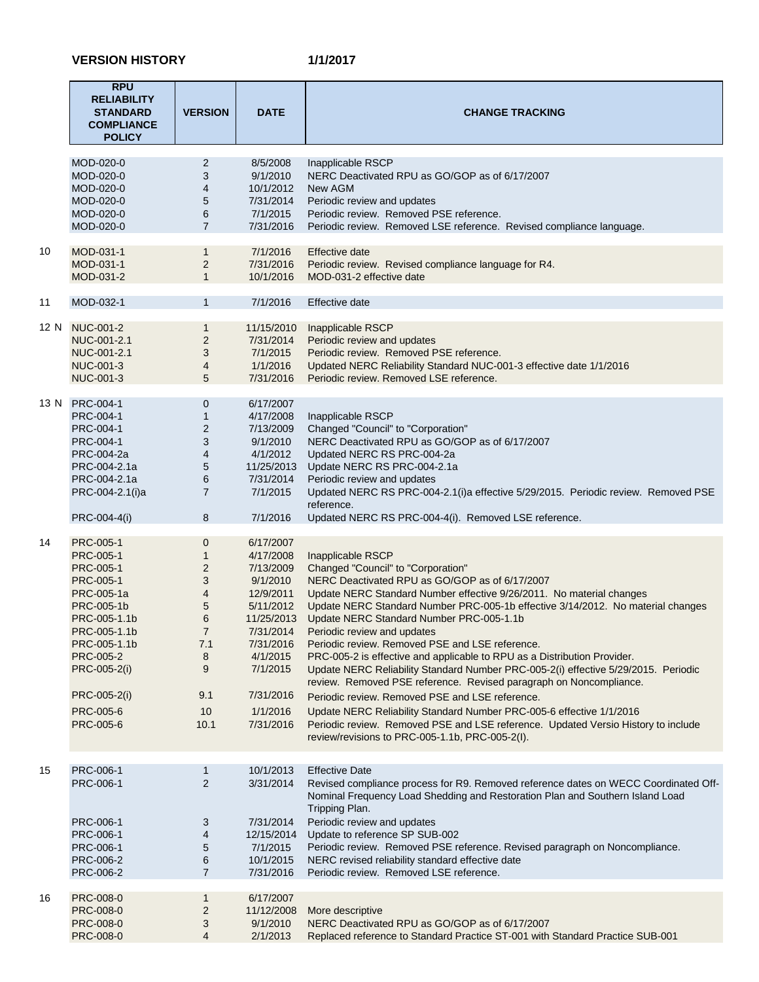|    | <b>RPU</b><br><b>RELIABILITY</b><br><b>STANDARD</b><br><b>COMPLIANCE</b><br><b>POLICY</b>                                                                                                           | <b>VERSION</b>                                                                                                            | <b>DATE</b>                                                                                                                                                                     | <b>CHANGE TRACKING</b>                                                                                                                                                                                                                                                                                                                                                                                                                                                                                                                                                                                                                                                                                                                                                                                                                                                                                        |
|----|-----------------------------------------------------------------------------------------------------------------------------------------------------------------------------------------------------|---------------------------------------------------------------------------------------------------------------------------|---------------------------------------------------------------------------------------------------------------------------------------------------------------------------------|---------------------------------------------------------------------------------------------------------------------------------------------------------------------------------------------------------------------------------------------------------------------------------------------------------------------------------------------------------------------------------------------------------------------------------------------------------------------------------------------------------------------------------------------------------------------------------------------------------------------------------------------------------------------------------------------------------------------------------------------------------------------------------------------------------------------------------------------------------------------------------------------------------------|
|    | MOD-020-0<br>MOD-020-0<br>MOD-020-0<br>MOD-020-0<br>MOD-020-0<br>MOD-020-0                                                                                                                          | $\overline{2}$<br>3<br>4<br>5<br>6<br>$\overline{7}$                                                                      | 8/5/2008<br>9/1/2010<br>10/1/2012<br>7/31/2014<br>7/1/2015<br>7/31/2016                                                                                                         | Inapplicable RSCP<br>NERC Deactivated RPU as GO/GOP as of 6/17/2007<br>New AGM<br>Periodic review and updates<br>Periodic review. Removed PSE reference.<br>Periodic review. Removed LSE reference. Revised compliance language.                                                                                                                                                                                                                                                                                                                                                                                                                                                                                                                                                                                                                                                                              |
| 10 | MOD-031-1<br>MOD-031-1<br>MOD-031-2                                                                                                                                                                 | $\mathbf{1}$<br>$\overline{\mathbf{c}}$<br>$\mathbf{1}$                                                                   | 7/1/2016<br>7/31/2016<br>10/1/2016                                                                                                                                              | Effective date<br>Periodic review. Revised compliance language for R4.<br>MOD-031-2 effective date                                                                                                                                                                                                                                                                                                                                                                                                                                                                                                                                                                                                                                                                                                                                                                                                            |
| 11 | MOD-032-1                                                                                                                                                                                           | $\mathbf{1}$                                                                                                              | 7/1/2016                                                                                                                                                                        | Effective date                                                                                                                                                                                                                                                                                                                                                                                                                                                                                                                                                                                                                                                                                                                                                                                                                                                                                                |
|    | 12 N NUC-001-2<br>NUC-001-2.1<br>NUC-001-2.1<br>NUC-001-3<br>NUC-001-3                                                                                                                              | $\mathbf{1}$<br>$\overline{2}$<br>3<br>4<br>5                                                                             | 11/15/2010<br>7/31/2014<br>7/1/2015<br>1/1/2016<br>7/31/2016                                                                                                                    | Inapplicable RSCP<br>Periodic review and updates<br>Periodic review. Removed PSE reference.<br>Updated NERC Reliability Standard NUC-001-3 effective date 1/1/2016<br>Periodic review. Removed LSE reference.                                                                                                                                                                                                                                                                                                                                                                                                                                                                                                                                                                                                                                                                                                 |
|    | 13 N PRC-004-1<br>PRC-004-1<br>PRC-004-1<br>PRC-004-1<br>PRC-004-2a<br>PRC-004-2.1a<br>PRC-004-2.1a<br>PRC-004-2.1(i)a                                                                              | $\mathbf 0$<br>$\mathbf{1}$<br>$\boldsymbol{2}$<br>3<br>4<br>$\sqrt{5}$<br>6<br>$\overline{7}$                            | 6/17/2007<br>4/17/2008<br>7/13/2009<br>9/1/2010<br>4/1/2012<br>11/25/2013<br>7/31/2014<br>7/1/2015                                                                              | Inapplicable RSCP<br>Changed "Council" to "Corporation"<br>NERC Deactivated RPU as GO/GOP as of 6/17/2007<br>Updated NERC RS PRC-004-2a<br>Update NERC RS PRC-004-2.1a<br>Periodic review and updates<br>Updated NERC RS PRC-004-2.1(i)a effective 5/29/2015. Periodic review. Removed PSE<br>reference.                                                                                                                                                                                                                                                                                                                                                                                                                                                                                                                                                                                                      |
|    | PRC-004-4(i)                                                                                                                                                                                        | 8                                                                                                                         | 7/1/2016                                                                                                                                                                        | Updated NERC RS PRC-004-4(i). Removed LSE reference.                                                                                                                                                                                                                                                                                                                                                                                                                                                                                                                                                                                                                                                                                                                                                                                                                                                          |
| 14 | PRC-005-1<br>PRC-005-1<br>PRC-005-1<br>PRC-005-1<br>PRC-005-1a<br>PRC-005-1b<br>PRC-005-1.1b<br>PRC-005-1.1b<br>PRC-005-1.1b<br>PRC-005-2<br>PRC-005-2(i)<br>PRC-005-2(i)<br>PRC-005-6<br>PRC-005-6 | $\mathbf 0$<br>$\mathbf{1}$<br>$\overline{c}$<br>3<br>4<br>5<br>6<br>$\overline{7}$<br>7.1<br>8<br>9<br>9.1<br>10<br>10.1 | 6/17/2007<br>4/17/2008<br>7/13/2009<br>9/1/2010<br>12/9/2011<br>5/11/2012<br>11/25/2013<br>7/31/2014<br>7/31/2016<br>4/1/2015<br>7/1/2015<br>7/31/2016<br>1/1/2016<br>7/31/2016 | Inapplicable RSCP<br>Changed "Council" to "Corporation"<br>NERC Deactivated RPU as GO/GOP as of 6/17/2007<br>Update NERC Standard Number effective 9/26/2011. No material changes<br>Update NERC Standard Number PRC-005-1b effective 3/14/2012. No material changes<br>Update NERC Standard Number PRC-005-1.1b<br>Periodic review and updates<br>Periodic review. Removed PSE and LSE reference.<br>PRC-005-2 is effective and applicable to RPU as a Distribution Provider.<br>Update NERC Reliability Standard Number PRC-005-2(i) effective 5/29/2015. Periodic<br>review. Removed PSE reference. Revised paragraph on Noncompliance.<br>Periodic review. Removed PSE and LSE reference.<br>Update NERC Reliability Standard Number PRC-005-6 effective 1/1/2016<br>Periodic review. Removed PSE and LSE reference. Updated Versio History to include<br>review/revisions to PRC-005-1.1b, PRC-005-2(I). |
|    |                                                                                                                                                                                                     |                                                                                                                           |                                                                                                                                                                                 |                                                                                                                                                                                                                                                                                                                                                                                                                                                                                                                                                                                                                                                                                                                                                                                                                                                                                                               |
| 15 | PRC-006-1<br>PRC-006-1<br>PRC-006-1<br>PRC-006-1<br>PRC-006-1<br>PRC-006-2<br>PRC-006-2                                                                                                             | 1<br>$\overline{2}$<br>3<br>4<br>5<br>6<br>$\overline{7}$                                                                 | 10/1/2013<br>3/31/2014<br>7/31/2014<br>12/15/2014<br>7/1/2015<br>10/1/2015<br>7/31/2016                                                                                         | <b>Effective Date</b><br>Revised compliance process for R9. Removed reference dates on WECC Coordinated Off-<br>Nominal Frequency Load Shedding and Restoration Plan and Southern Island Load<br>Tripping Plan.<br>Periodic review and updates<br>Update to reference SP SUB-002<br>Periodic review. Removed PSE reference. Revised paragraph on Noncompliance.<br>NERC revised reliability standard effective date<br>Periodic review. Removed LSE reference.                                                                                                                                                                                                                                                                                                                                                                                                                                                |
| 16 | PRC-008-0<br>PRC-008-0<br>PRC-008-0<br>PRC-008-0                                                                                                                                                    | $\mathbf{1}$<br>$\overline{2}$<br>3<br>4                                                                                  | 6/17/2007<br>11/12/2008<br>9/1/2010<br>2/1/2013                                                                                                                                 | More descriptive<br>NERC Deactivated RPU as GO/GOP as of 6/17/2007<br>Replaced reference to Standard Practice ST-001 with Standard Practice SUB-001                                                                                                                                                                                                                                                                                                                                                                                                                                                                                                                                                                                                                                                                                                                                                           |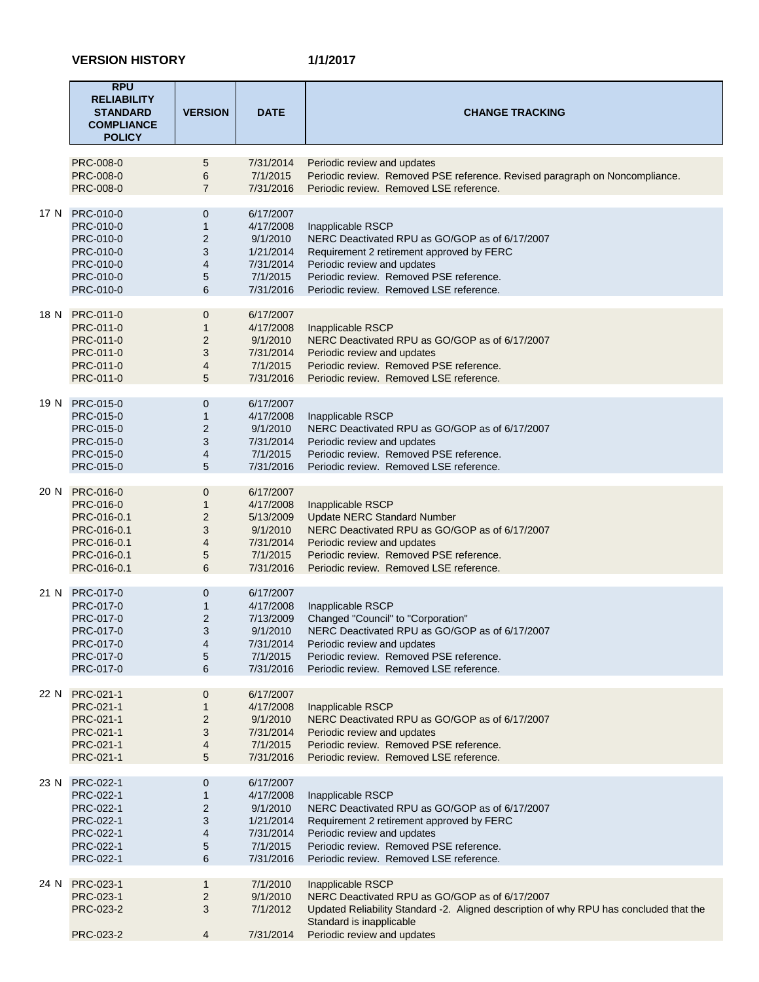|      | <b>RPU</b><br><b>RELIABILITY</b><br><b>STANDARD</b><br><b>COMPLIANCE</b><br><b>POLICY</b>                | <b>VERSION</b>                                          | <b>DATE</b>                                                                           | <b>CHANGE TRACKING</b>                                                                                                                                                                                                                |
|------|----------------------------------------------------------------------------------------------------------|---------------------------------------------------------|---------------------------------------------------------------------------------------|---------------------------------------------------------------------------------------------------------------------------------------------------------------------------------------------------------------------------------------|
|      | <b>PRC-008-0</b><br>PRC-008-0<br>PRC-008-0                                                               | 5<br>6<br>$\overline{7}$                                | 7/31/2014<br>7/1/2015<br>7/31/2016                                                    | Periodic review and updates<br>Periodic review. Removed PSE reference. Revised paragraph on Noncompliance.<br>Periodic review. Removed LSE reference.                                                                                 |
|      | 17 N PRC-010-0<br>PRC-010-0<br>PRC-010-0<br>PRC-010-0<br>PRC-010-0<br>PRC-010-0<br>PRC-010-0             | 0<br>$\mathbf{1}$<br>$\overline{2}$<br>3<br>4<br>5<br>6 | 6/17/2007<br>4/17/2008<br>9/1/2010<br>1/21/2014<br>7/31/2014<br>7/1/2015<br>7/31/2016 | Inapplicable RSCP<br>NERC Deactivated RPU as GO/GOP as of 6/17/2007<br>Requirement 2 retirement approved by FERC<br>Periodic review and updates<br>Periodic review. Removed PSE reference.<br>Periodic review. Removed LSE reference. |
|      | 18 N PRC-011-0<br>PRC-011-0<br>PRC-011-0<br>PRC-011-0<br>PRC-011-0<br>PRC-011-0                          | 0<br>$\mathbf{1}$<br>$\overline{c}$<br>3<br>4<br>5      | 6/17/2007<br>4/17/2008<br>9/1/2010<br>7/31/2014<br>7/1/2015<br>7/31/2016              | Inapplicable RSCP<br>NERC Deactivated RPU as GO/GOP as of 6/17/2007<br>Periodic review and updates<br>Periodic review. Removed PSE reference.<br>Periodic review. Removed LSE reference.                                              |
| 19 N | PRC-015-0<br>PRC-015-0<br>PRC-015-0<br>PRC-015-0<br>PRC-015-0<br>PRC-015-0                               | $\mathbf 0$<br>1<br>$\overline{2}$<br>3<br>4<br>5       | 6/17/2007<br>4/17/2008<br>9/1/2010<br>7/31/2014<br>7/1/2015<br>7/31/2016              | Inapplicable RSCP<br>NERC Deactivated RPU as GO/GOP as of 6/17/2007<br>Periodic review and updates<br>Periodic review. Removed PSE reference.<br>Periodic review. Removed LSE reference.                                              |
| 20 N | <b>PRC-016-0</b><br>PRC-016-0<br>PRC-016-0.1<br>PRC-016-0.1<br>PRC-016-0.1<br>PRC-016-0.1<br>PRC-016-0.1 | 0<br>$\mathbf{1}$<br>$\overline{c}$<br>3<br>4<br>5<br>6 | 6/17/2007<br>4/17/2008<br>5/13/2009<br>9/1/2010<br>7/31/2014<br>7/1/2015<br>7/31/2016 | Inapplicable RSCP<br><b>Update NERC Standard Number</b><br>NERC Deactivated RPU as GO/GOP as of 6/17/2007<br>Periodic review and updates<br>Periodic review. Removed PSE reference.<br>Periodic review. Removed LSE reference.        |
| 21 N | PRC-017-0<br>PRC-017-0<br>PRC-017-0<br>PRC-017-0<br>PRC-017-0<br>PRC-017-0<br>PRC-017-0                  | 0<br>$\mathbf{1}$<br>$\overline{2}$<br>3<br>4<br>5<br>6 | 6/17/2007<br>4/17/2008<br>7/13/2009<br>9/1/2010<br>7/31/2014<br>7/1/2015<br>7/31/2016 | Inapplicable RSCP<br>Changed "Council" to "Corporation"<br>NERC Deactivated RPU as GO/GOP as of 6/17/2007<br>Periodic review and updates<br>Periodic review. Removed PSE reference.<br>Periodic review. Removed LSE reference.        |
| 22 N | PRC-021-1<br>PRC-021-1<br>PRC-021-1<br>PRC-021-1<br>PRC-021-1<br>PRC-021-1                               | 0<br>$\mathbf{1}$<br>$\overline{c}$<br>3<br>4<br>5      | 6/17/2007<br>4/17/2008<br>9/1/2010<br>7/31/2014<br>7/1/2015<br>7/31/2016              | Inapplicable RSCP<br>NERC Deactivated RPU as GO/GOP as of 6/17/2007<br>Periodic review and updates<br>Periodic review. Removed PSE reference.<br>Periodic review. Removed LSE reference.                                              |
| 23 N | PRC-022-1<br>PRC-022-1<br>PRC-022-1<br>PRC-022-1<br>PRC-022-1<br>PRC-022-1<br>PRC-022-1                  | 0<br>$\mathbf{1}$<br>$\overline{2}$<br>3<br>4<br>5<br>6 | 6/17/2007<br>4/17/2008<br>9/1/2010<br>1/21/2014<br>7/31/2014<br>7/1/2015<br>7/31/2016 | Inapplicable RSCP<br>NERC Deactivated RPU as GO/GOP as of 6/17/2007<br>Requirement 2 retirement approved by FERC<br>Periodic review and updates<br>Periodic review. Removed PSE reference.<br>Periodic review. Removed LSE reference. |
| 24 N | PRC-023-1<br>PRC-023-1<br>PRC-023-2<br>PRC-023-2                                                         | $\mathbf{1}$<br>$\overline{c}$<br>3<br>4                | 7/1/2010<br>9/1/2010<br>7/1/2012<br>7/31/2014                                         | Inapplicable RSCP<br>NERC Deactivated RPU as GO/GOP as of 6/17/2007<br>Updated Reliability Standard -2. Aligned description of why RPU has concluded that the<br>Standard is inapplicable<br>Periodic review and updates              |
|      |                                                                                                          |                                                         |                                                                                       |                                                                                                                                                                                                                                       |